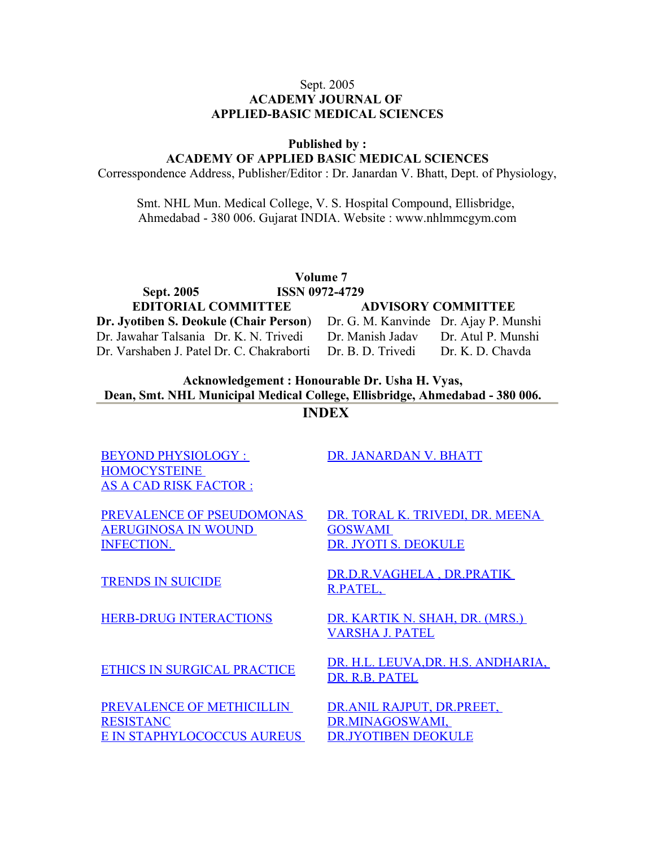#### Sept. 2005 **ACADEMY JOURNAL OF APPLIED-BASIC MEDICAL SCIENCES**

**Published by :**

**ACADEMY OF APPLIED BASIC MEDICAL SCIENCES**

Corresspondence Address, Publisher/Editor : Dr. Janardan V. Bhatt, Dept. of Physiology,

Smt. NHL Mun. Medical College, V. S. Hospital Compound, Ellisbridge, Ahmedabad - 380 006. Gujarat INDIA. Website : www.nhlmmcgym.com

**Volume 7 Sept. 2005 ISSN 0972-4729 EDITORIAL COMMITTEE ADVISORY COMMITTEE Dr. Jyotiben S. Deokule (Chair Person**) Dr. G. M. Kanvinde Dr. Ajay P. Munshi Dr. Jawahar Talsania Dr. K. N. Trivedi Dr. Manish Jadav Dr. Atul P. Munshi Dr. Varshaben J. Patel Dr. C. Chakraborti Dr. B. D. Trivedi Dr. K. D. Chavda

**Acknowledgement : Honourable Dr. Usha H. Vyas, Dean, Smt. NHL Municipal Medical College, Ellisbridge, Ahmedabad - 380 006.**

**INDEX**

[BEYOND PHYSIOLOGY :](http://www.nhlmmc.edu.in/byyond_phigiology.htm) [HOMOCYSTEINE](http://www.nhlmmc.edu.in/byyond_phigiology.htm)  [AS A CAD RISK FACTOR :](http://www.nhlmmc.edu.in/byyond_phigiology.htm) [DR. JANARDAN V. BHATT](http://www.nhlmmc.edu.in/byyond_phigiology.htm)

[PREVALENCE OF PSEUDOMONAS](http://www.nhlmmc.edu.in/prevelance.htm)  [AERUGINOSA IN WOUND](http://www.nhlmmc.edu.in/prevelance.htm) [INFECTION.](http://www.nhlmmc.edu.in/prevelance.htm) 

[PREVALENCE OF METHICILLIN](http://www.nhlmmc.edu.in/prevalenceofmethicl.htm) [RESISTANC](http://www.nhlmmc.edu.in/prevalenceofmethicl.htm) [E IN STAPHYLOCOCCUS AUREUS](http://www.nhlmmc.edu.in/prevalenceofmethicl.htm)  [DR. TORAL K. TRIVEDI, DR. MEENA](http://www.nhlmmc.edu.in/prevelance.htm) [GOSWAMI](http://www.nhlmmc.edu.in/prevelance.htm)  [DR. JYOTI S. DEOKULE](http://www.nhlmmc.edu.in/prevelance.htm)

[TRENDS IN SUICIDE](http://www.nhlmmc.edu.in/trends.htm) DR.D.R.VAGHELA, DR.PRATIK [R.PATEL,](http://www.nhlmmc.edu.in/trends.htm) 

[HERB-DRUG INTERACTIONS](http://www.nhlmmc.edu.in/hurb.htm) [DR. KARTIK N. SHAH, DR. \(MRS.\)](http://www.nhlmmc.edu.in/hurb.htm) [VARSHA J. PATEL](http://www.nhlmmc.edu.in/hurb.htm)

[ETHICS IN SURGICAL PRACTICE](http://www.nhlmmc.edu.in/ethics.htm) DR. H.L. LEUVA, DR. H.S. ANDHARIA, [DR. R.B. PATEL](http://www.nhlmmc.edu.in/ethics.htm)

> [DR.ANIL RAJPUT, DR.PREET,](http://www.nhlmmc.edu.in/prevalenceofmethicl.htm) [DR.MINAGOSWAMI,](http://www.nhlmmc.edu.in/prevalenceofmethicl.htm)  [DR.JYOTIBEN DEOKULE](http://www.nhlmmc.edu.in/prevalenceofmethicl.htm)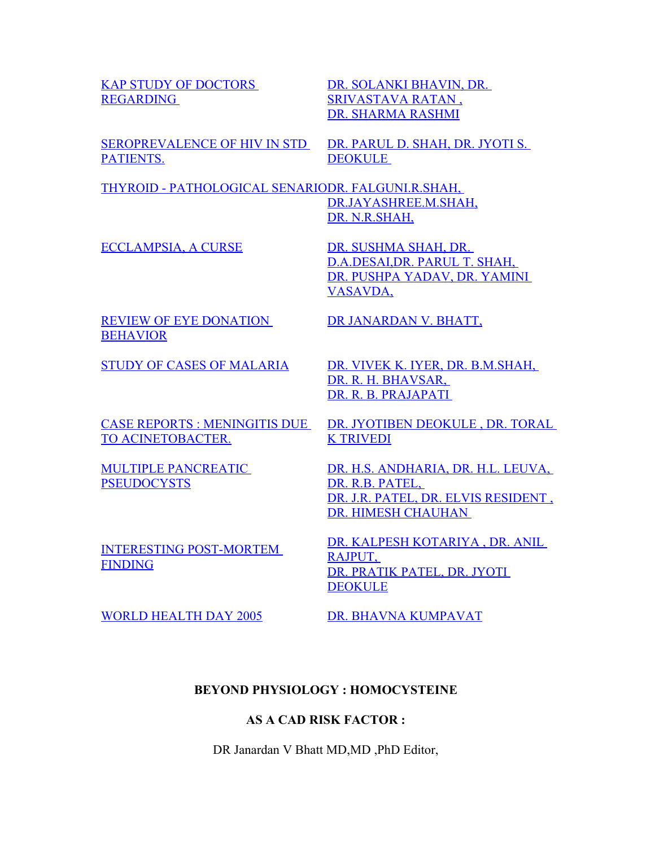[KAP STUDY OF DOCTORS](http://www.nhlmmc.edu.in/kapstudy.htm) [REGARDING](http://www.nhlmmc.edu.in/kapstudy.htm) 

[DR. SOLANKI BHAVIN, DR.](http://www.nhlmmc.edu.in/kapstudy.htm) [SRIVASTAVA RATAN ,](http://www.nhlmmc.edu.in/kapstudy.htm) [DR. SHARMA RASHMI](http://www.nhlmmc.edu.in/kapstudy.htm)

[SEROPREVALENCE OF HIV IN STD](http://www.nhlmmc.edu.in/seroplevance.htm) [PATIENTS.](http://www.nhlmmc.edu.in/seroplevance.htm)

[DR. PARUL D. SHAH, DR. JYOTI S.](http://www.nhlmmc.edu.in/seroplevance.htm) [DEOKULE](http://www.nhlmmc.edu.in/seroplevance.htm) 

[THYROID - PATHOLOGICAL SENARIODR. FALGUNI.R.SHAH,](http://www.nhlmmc.edu.in/thyroid.htm) [DR.JAYASHREE.M.SHAH,](http://www.nhlmmc.edu.in/thyroid.htm) [DR. N.R.SHAH,](http://www.nhlmmc.edu.in/thyroid.htm)

[ECCLAMPSIA, A CURSE](http://www.nhlmmc.edu.in/ecclampsia.htm) [DR. SUSHMA SHAH, DR.](http://www.nhlmmc.edu.in/ecclampsia.htm)

D.A.DESAI,DR. PARUL T. SHAH, [DR. PUSHPA YADAV, DR. YAMINI](http://www.nhlmmc.edu.in/ecclampsia.htm) [VASAVDA,](http://www.nhlmmc.edu.in/ecclampsia.htm)

[REVIEW OF EYE DONATION](http://www.nhlmmc.edu.in/reviewofeye.htm) [BEHAVIOR](http://www.nhlmmc.edu.in/reviewofeye.htm)

[CASE REPORTS : MENINGITIS DUE](http://www.nhlmmc.edu.in/casereports.htm) [TO ACINETOBACTER.](http://www.nhlmmc.edu.in/casereports.htm)

[MULTIPLE PANCREATIC](http://www.nhlmmc.edu.in/multipal.htm) **[PSEUDOCYSTS](http://www.nhlmmc.edu.in/multipal.htm)** 

[INTERESTING POST-MORTEM](http://www.nhlmmc.edu.in/interisting_postmort.htm) [FINDING](http://www.nhlmmc.edu.in/interisting_postmort.htm)

[DR JANARDAN V. BHATT,](http://www.nhlmmc.edu.in/reviewofeye.htm)

[STUDY OF CASES OF MALARIA](http://www.nhlmmc.edu.in/studyofcases.htm) [DR. VIVEK K. IYER, DR. B.M.SHAH,](http://www.nhlmmc.edu.in/studyofcases.htm) [DR. R. H. BHAVSAR,](http://www.nhlmmc.edu.in/studyofcases.htm)  [DR. R. B. PRAJAPATI](http://www.nhlmmc.edu.in/studyofcases.htm) 

> [DR. JYOTIBEN DEOKULE , DR. TORAL](http://www.nhlmmc.edu.in/casereports.htm) [K TRIVEDI](http://www.nhlmmc.edu.in/casereports.htm)

[DR. H.S. ANDHARIA, DR. H.L. LEUVA,](http://www.nhlmmc.edu.in/multipal.htm) DR. R.B. PATEL, [DR. J.R. PATEL, DR. ELVIS RESIDENT ,](http://www.nhlmmc.edu.in/multipal.htm) [DR. HIMESH CHAUHAN](http://www.nhlmmc.edu.in/multipal.htm) 

[DR. KALPESH KOTARIYA , DR. ANIL](http://www.nhlmmc.edu.in/interisting_postmort.htm) RAJPUT, [DR. PRATIK PATEL, DR. JYOTI](http://www.nhlmmc.edu.in/interisting_postmort.htm) **[DEOKULE](http://www.nhlmmc.edu.in/interisting_postmort.htm)** 

[WORLD HEALTH DAY 2005](http://www.nhlmmc.edu.in/worldhealthday.htm) [DR. BHAVNA KUMPAVAT](http://www.nhlmmc.edu.in/worldhealthday.htm)

# **BEYOND PHYSIOLOGY : HOMOCYSTEINE**

#### **AS A CAD RISK FACTOR :**

DR Janardan V Bhatt MD,MD ,PhD Editor,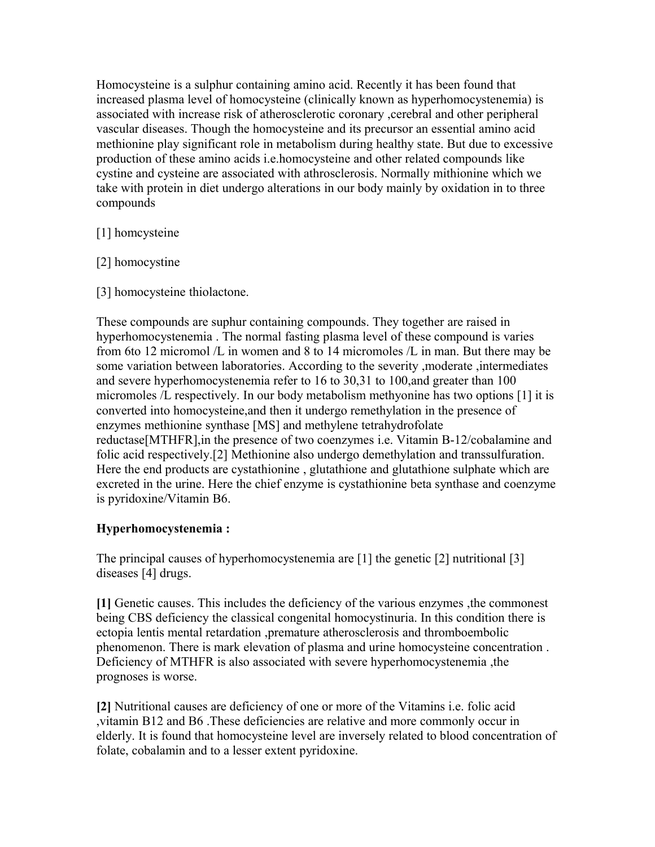Homocysteine is a sulphur containing amino acid. Recently it has been found that increased plasma level of homocysteine (clinically known as hyperhomocystenemia) is associated with increase risk of atherosclerotic coronary ,cerebral and other peripheral vascular diseases. Though the homocysteine and its precursor an essential amino acid methionine play significant role in metabolism during healthy state. But due to excessive production of these amino acids i.e.homocysteine and other related compounds like cystine and cysteine are associated with athrosclerosis. Normally mithionine which we take with protein in diet undergo alterations in our body mainly by oxidation in to three compounds

# [1] homcysteine

- [2] homocystine
- [3] homocysteine thiolactone.

These compounds are suphur containing compounds. They together are raised in hyperhomocystenemia . The normal fasting plasma level of these compound is varies from 6to 12 micromol /L in women and 8 to 14 micromoles /L in man. But there may be some variation between laboratories. According to the severity ,moderate ,intermediates and severe hyperhomocystenemia refer to 16 to 30,31 to 100,and greater than 100 micromoles /L respectively. In our body metabolism methyonine has two options [1] it is converted into homocysteine,and then it undergo remethylation in the presence of enzymes methionine synthase [MS] and methylene tetrahydrofolate reductase[MTHFR],in the presence of two coenzymes i.e. Vitamin B-12/cobalamine and folic acid respectively.[2] Methionine also undergo demethylation and transsulfuration. Here the end products are cystathionine , glutathione and glutathione sulphate which are excreted in the urine. Here the chief enzyme is cystathionine beta synthase and coenzyme is pyridoxine/Vitamin B6.

# **Hyperhomocystenemia :**

The principal causes of hyperhomocystenemia are [1] the genetic [2] nutritional [3] diseases [4] drugs.

**[1]** Genetic causes. This includes the deficiency of the various enzymes ,the commonest being CBS deficiency the classical congenital homocystinuria. In this condition there is ectopia lentis mental retardation ,premature atherosclerosis and thromboembolic phenomenon. There is mark elevation of plasma and urine homocysteine concentration . Deficiency of MTHFR is also associated with severe hyperhomocystenemia ,the prognoses is worse.

**[2]** Nutritional causes are deficiency of one or more of the Vitamins i.e. folic acid ,vitamin B12 and B6 .These deficiencies are relative and more commonly occur in elderly. It is found that homocysteine level are inversely related to blood concentration of folate, cobalamin and to a lesser extent pyridoxine.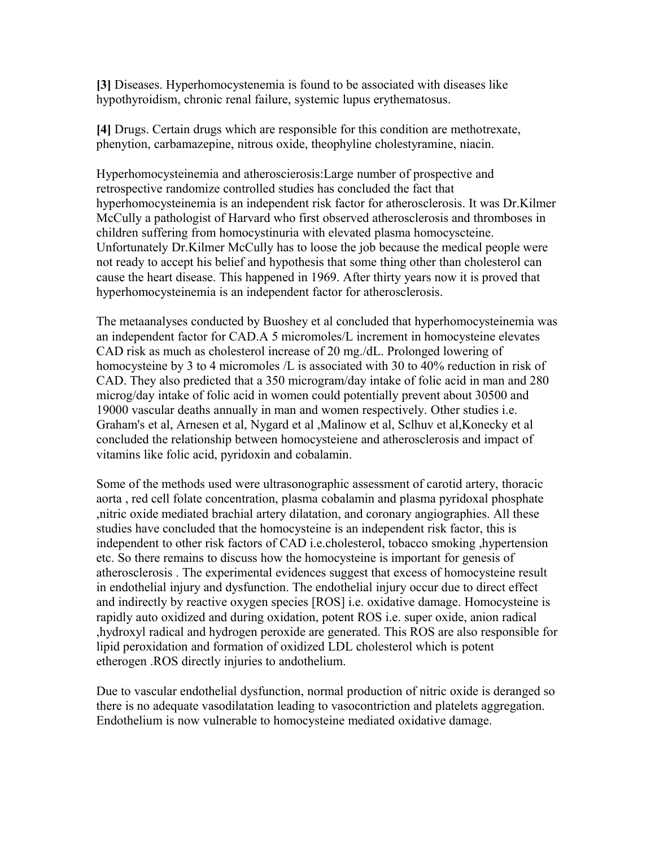**[3]** Diseases. Hyperhomocystenemia is found to be associated with diseases like hypothyroidism, chronic renal failure, systemic lupus erythematosus.

**[4]** Drugs. Certain drugs which are responsible for this condition are methotrexate, phenytion, carbamazepine, nitrous oxide, theophyline cholestyramine, niacin.

Hyperhomocysteinemia and atheroscierosis:Large number of prospective and retrospective randomize controlled studies has concluded the fact that hyperhomocysteinemia is an independent risk factor for atherosclerosis. It was Dr.Kilmer McCully a pathologist of Harvard who first observed atherosclerosis and thromboses in children suffering from homocystinuria with elevated plasma homocyscteine. Unfortunately Dr.Kilmer McCully has to loose the job because the medical people were not ready to accept his belief and hypothesis that some thing other than cholesterol can cause the heart disease. This happened in 1969. After thirty years now it is proved that hyperhomocysteinemia is an independent factor for atherosclerosis.

The metaanalyses conducted by Buoshey et al concluded that hyperhomocysteinemia was an independent factor for CAD.A 5 micromoles/L increment in homocysteine elevates CAD risk as much as cholesterol increase of 20 mg./dL. Prolonged lowering of homocysteine by 3 to 4 micromoles /L is associated with 30 to 40% reduction in risk of CAD. They also predicted that a 350 microgram/day intake of folic acid in man and 280 microg/day intake of folic acid in women could potentially prevent about 30500 and 19000 vascular deaths annually in man and women respectively. Other studies i.e. Graham's et al, Arnesen et al, Nygard et al ,Malinow et al, Sclhuv et al,Konecky et al concluded the relationship between homocysteiene and atherosclerosis and impact of vitamins like folic acid, pyridoxin and cobalamin.

Some of the methods used were ultrasonographic assessment of carotid artery, thoracic aorta , red cell folate concentration, plasma cobalamin and plasma pyridoxal phosphate ,nitric oxide mediated brachial artery dilatation, and coronary angiographies. All these studies have concluded that the homocysteine is an independent risk factor, this is independent to other risk factors of CAD i.e.cholesterol, tobacco smoking ,hypertension etc. So there remains to discuss how the homocysteine is important for genesis of atherosclerosis . The experimental evidences suggest that excess of homocysteine result in endothelial injury and dysfunction. The endothelial injury occur due to direct effect and indirectly by reactive oxygen species [ROS] i.e. oxidative damage. Homocysteine is rapidly auto oxidized and during oxidation, potent ROS i.e. super oxide, anion radical ,hydroxyl radical and hydrogen peroxide are generated. This ROS are also responsible for lipid peroxidation and formation of oxidized LDL cholesterol which is potent etherogen .ROS directly injuries to andothelium.

Due to vascular endothelial dysfunction, normal production of nitric oxide is deranged so there is no adequate vasodilatation leading to vasocontriction and platelets aggregation. Endothelium is now vulnerable to homocysteine mediated oxidative damage.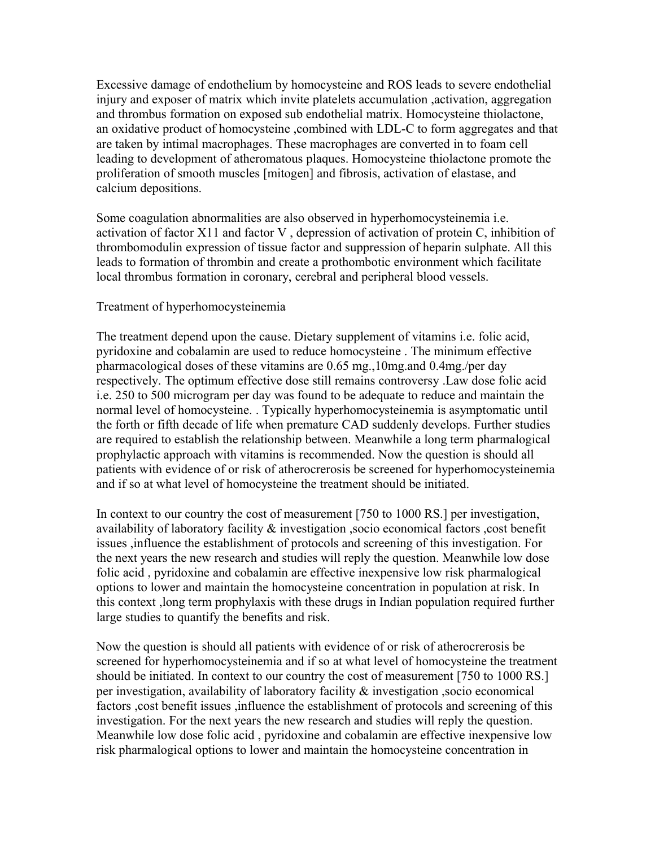Excessive damage of endothelium by homocysteine and ROS leads to severe endothelial injury and exposer of matrix which invite platelets accumulation ,activation, aggregation and thrombus formation on exposed sub endothelial matrix. Homocysteine thiolactone, an oxidative product of homocysteine ,combined with LDL-C to form aggregates and that are taken by intimal macrophages. These macrophages are converted in to foam cell leading to development of atheromatous plaques. Homocysteine thiolactone promote the proliferation of smooth muscles [mitogen] and fibrosis, activation of elastase, and calcium depositions.

Some coagulation abnormalities are also observed in hyperhomocysteinemia i.e. activation of factor X11 and factor V , depression of activation of protein C, inhibition of thrombomodulin expression of tissue factor and suppression of heparin sulphate. All this leads to formation of thrombin and create a prothombotic environment which facilitate local thrombus formation in coronary, cerebral and peripheral blood vessels.

#### Treatment of hyperhomocysteinemia

The treatment depend upon the cause. Dietary supplement of vitamins i.e. folic acid, pyridoxine and cobalamin are used to reduce homocysteine . The minimum effective pharmacological doses of these vitamins are 0.65 mg.,10mg.and 0.4mg./per day respectively. The optimum effective dose still remains controversy .Law dose folic acid i.e. 250 to 500 microgram per day was found to be adequate to reduce and maintain the normal level of homocysteine. . Typically hyperhomocysteinemia is asymptomatic until the forth or fifth decade of life when premature CAD suddenly develops. Further studies are required to establish the relationship between. Meanwhile a long term pharmalogical prophylactic approach with vitamins is recommended. Now the question is should all patients with evidence of or risk of atherocrerosis be screened for hyperhomocysteinemia and if so at what level of homocysteine the treatment should be initiated.

In context to our country the cost of measurement [750 to 1000 RS.] per investigation, availability of laboratory facility & investigation ,socio economical factors ,cost benefit issues ,influence the establishment of protocols and screening of this investigation. For the next years the new research and studies will reply the question. Meanwhile low dose folic acid , pyridoxine and cobalamin are effective inexpensive low risk pharmalogical options to lower and maintain the homocysteine concentration in population at risk. In this context ,long term prophylaxis with these drugs in Indian population required further large studies to quantify the benefits and risk.

Now the question is should all patients with evidence of or risk of atherocrerosis be screened for hyperhomocysteinemia and if so at what level of homocysteine the treatment should be initiated. In context to our country the cost of measurement [750 to 1000 RS.] per investigation, availability of laboratory facility & investigation ,socio economical factors , cost benefit issues , influence the establishment of protocols and screening of this investigation. For the next years the new research and studies will reply the question. Meanwhile low dose folic acid , pyridoxine and cobalamin are effective inexpensive low risk pharmalogical options to lower and maintain the homocysteine concentration in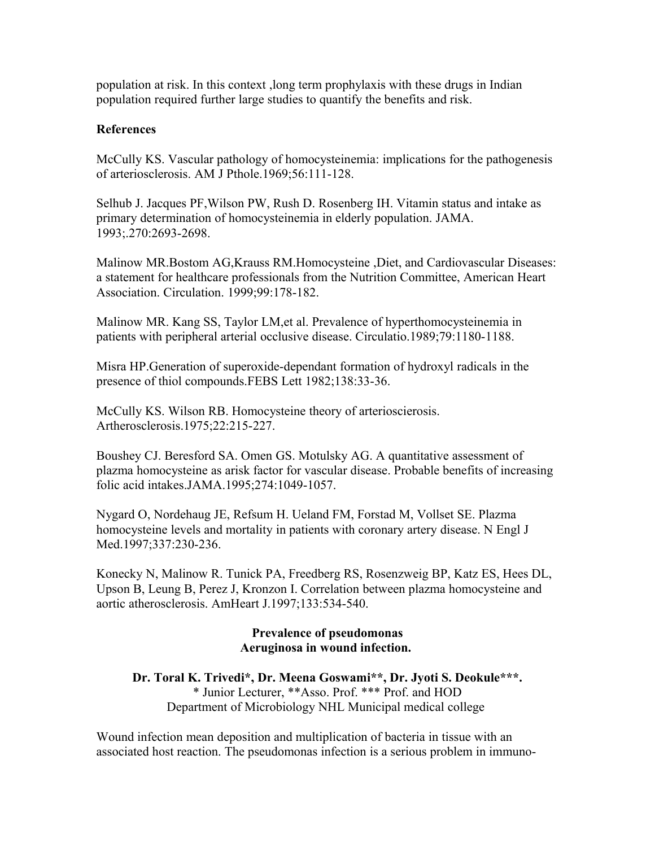population at risk. In this context ,long term prophylaxis with these drugs in Indian population required further large studies to quantify the benefits and risk.

#### **References**

McCully KS. Vascular pathology of homocysteinemia: implications for the pathogenesis of arteriosclerosis. AM J Pthole.1969;56:111-128.

Selhub J. Jacques PF,Wilson PW, Rush D. Rosenberg IH. Vitamin status and intake as primary determination of homocysteinemia in elderly population. JAMA. 1993;.270:2693-2698.

Malinow MR.Bostom AG,Krauss RM.Homocysteine ,Diet, and Cardiovascular Diseases: a statement for healthcare professionals from the Nutrition Committee, American Heart Association. Circulation. 1999;99:178-182.

Malinow MR. Kang SS, Taylor LM,et al. Prevalence of hyperthomocysteinemia in patients with peripheral arterial occlusive disease. Circulatio.1989;79:1180-1188.

Misra HP.Generation of superoxide-dependant formation of hydroxyl radicals in the presence of thiol compounds.FEBS Lett 1982;138:33-36.

McCully KS. Wilson RB. Homocysteine theory of arterioscierosis. Artherosclerosis.1975;22:215-227.

Boushey CJ. Beresford SA. Omen GS. Motulsky AG. A quantitative assessment of plazma homocysteine as arisk factor for vascular disease. Probable benefits of increasing folic acid intakes.JAMA.1995;274:1049-1057.

Nygard O, Nordehaug JE, Refsum H. Ueland FM, Forstad M, Vollset SE. Plazma homocysteine levels and mortality in patients with coronary artery disease. N Engl J Med.1997;337:230-236.

Konecky N, Malinow R. Tunick PA, Freedberg RS, Rosenzweig BP, Katz ES, Hees DL, Upson B, Leung B, Perez J, Kronzon I. Correlation between plazma homocysteine and aortic atherosclerosis. AmHeart J.1997;133:534-540.

#### **Prevalence of pseudomonas Aeruginosa in wound infection.**

**Dr. Toral K. Trivedi\*, Dr. Meena Goswami\*\*, Dr. Jyoti S. Deokule\*\*\*.** \* Junior Lecturer, \*\*Asso. Prof. \*\*\* Prof. and HOD Department of Microbiology NHL Municipal medical college

Wound infection mean deposition and multiplication of bacteria in tissue with an associated host reaction. The pseudomonas infection is a serious problem in immuno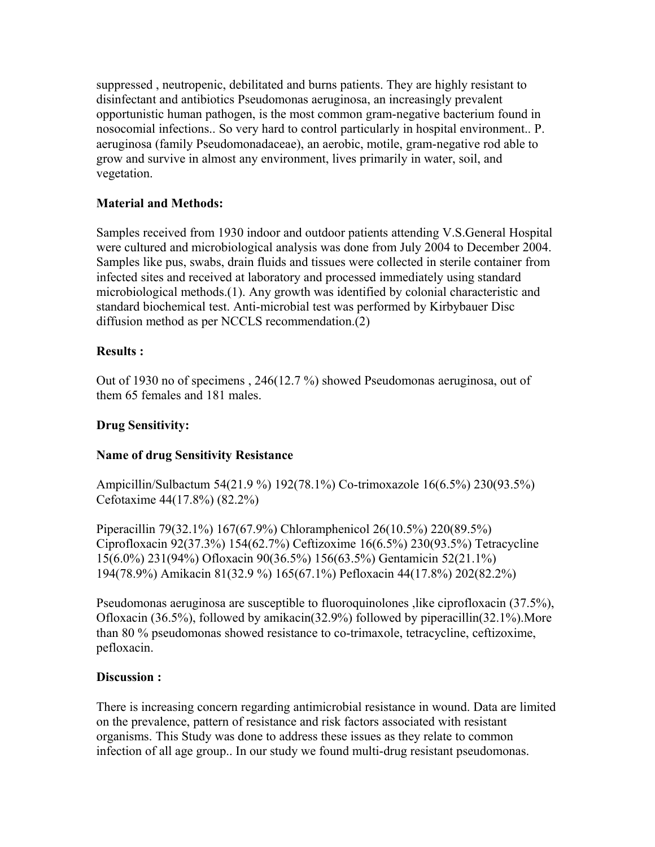suppressed , neutropenic, debilitated and burns patients. They are highly resistant to disinfectant and antibiotics Pseudomonas aeruginosa, an increasingly prevalent opportunistic human pathogen, is the most common gram-negative bacterium found in nosocomial infections.. So very hard to control particularly in hospital environment.. P. aeruginosa (family Pseudomonadaceae), an aerobic, motile, gram-negative rod able to grow and survive in almost any environment, lives primarily in water, soil, and vegetation.

# **Material and Methods:**

Samples received from 1930 indoor and outdoor patients attending V.S.General Hospital were cultured and microbiological analysis was done from July 2004 to December 2004. Samples like pus, swabs, drain fluids and tissues were collected in sterile container from infected sites and received at laboratory and processed immediately using standard microbiological methods.(1). Any growth was identified by colonial characteristic and standard biochemical test. Anti-microbial test was performed by Kirbybauer Disc diffusion method as per NCCLS recommendation.(2)

# **Results :**

Out of 1930 no of specimens , 246(12.7 %) showed Pseudomonas aeruginosa, out of them 65 females and 181 males.

# **Drug Sensitivity:**

# **Name of drug Sensitivity Resistance**

Ampicillin/Sulbactum 54(21.9 %) 192(78.1%) Co-trimoxazole 16(6.5%) 230(93.5%) Cefotaxime 44(17.8%) (82.2%)

Piperacillin 79(32.1%) 167(67.9%) Chloramphenicol 26(10.5%) 220(89.5%) Ciprofloxacin 92(37.3%) 154(62.7%) Ceftizoxime 16(6.5%) 230(93.5%) Tetracycline 15(6.0%) 231(94%) Ofloxacin 90(36.5%) 156(63.5%) Gentamicin 52(21.1%) 194(78.9%) Amikacin 81(32.9 %) 165(67.1%) Pefloxacin 44(17.8%) 202(82.2%)

Pseudomonas aeruginosa are susceptible to fluoroquinolones ,like ciprofloxacin (37.5%), Ofloxacin (36.5%), followed by amikacin(32.9%) followed by piperacillin(32.1%).More than 80 % pseudomonas showed resistance to co-trimaxole, tetracycline, ceftizoxime, pefloxacin.

#### **Discussion :**

There is increasing concern regarding antimicrobial resistance in wound. Data are limited on the prevalence, pattern of resistance and risk factors associated with resistant organisms. This Study was done to address these issues as they relate to common infection of all age group.. In our study we found multi-drug resistant pseudomonas.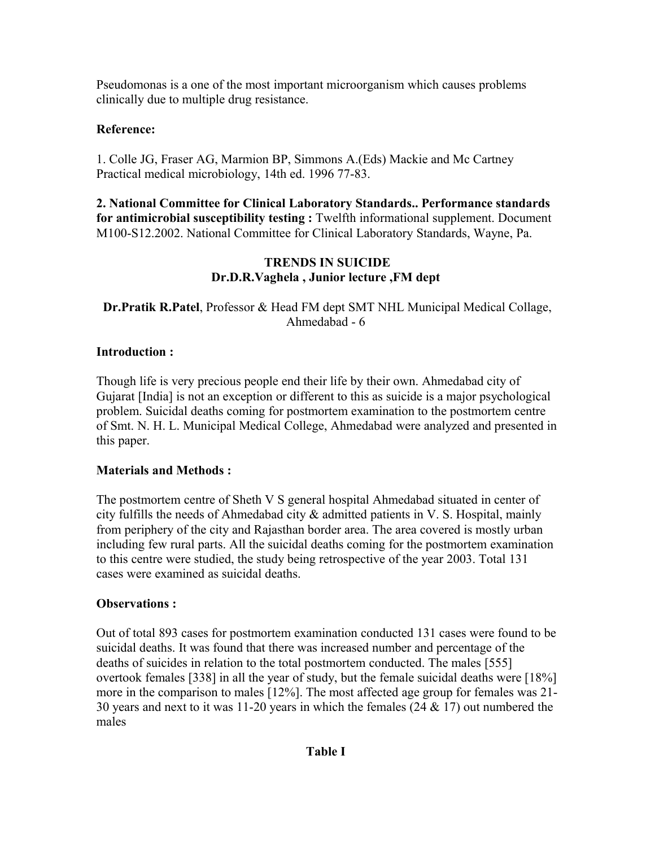Pseudomonas is a one of the most important microorganism which causes problems clinically due to multiple drug resistance.

# **Reference:**

1. Colle JG, Fraser AG, Marmion BP, Simmons A.(Eds) Mackie and Mc Cartney Practical medical microbiology, 14th ed. 1996 77-83.

**2. National Committee for Clinical Laboratory Standards.. Performance standards for antimicrobial susceptibility testing :** Twelfth informational supplement. Document M100-S12.2002. National Committee for Clinical Laboratory Standards, Wayne, Pa.

# **TRENDS IN SUICIDE Dr.D.R.Vaghela , Junior lecture ,FM dept**

# **Dr.Pratik R.Patel**, Professor & Head FM dept SMT NHL Municipal Medical Collage, Ahmedabad - 6

# **Introduction :**

Though life is very precious people end their life by their own. Ahmedabad city of Gujarat [India] is not an exception or different to this as suicide is a major psychological problem. Suicidal deaths coming for postmortem examination to the postmortem centre of Smt. N. H. L. Municipal Medical College, Ahmedabad were analyzed and presented in this paper.

# **Materials and Methods :**

The postmortem centre of Sheth V S general hospital Ahmedabad situated in center of city fulfills the needs of Ahmedabad city & admitted patients in V. S. Hospital, mainly from periphery of the city and Rajasthan border area. The area covered is mostly urban including few rural parts. All the suicidal deaths coming for the postmortem examination to this centre were studied, the study being retrospective of the year 2003. Total 131 cases were examined as suicidal deaths.

# **Observations :**

Out of total 893 cases for postmortem examination conducted 131 cases were found to be suicidal deaths. It was found that there was increased number and percentage of the deaths of suicides in relation to the total postmortem conducted. The males [555] overtook females [338] in all the year of study, but the female suicidal deaths were [18%] more in the comparison to males [12%]. The most affected age group for females was 21- 30 years and next to it was 11-20 years in which the females  $(24 \& 17)$  out numbered the males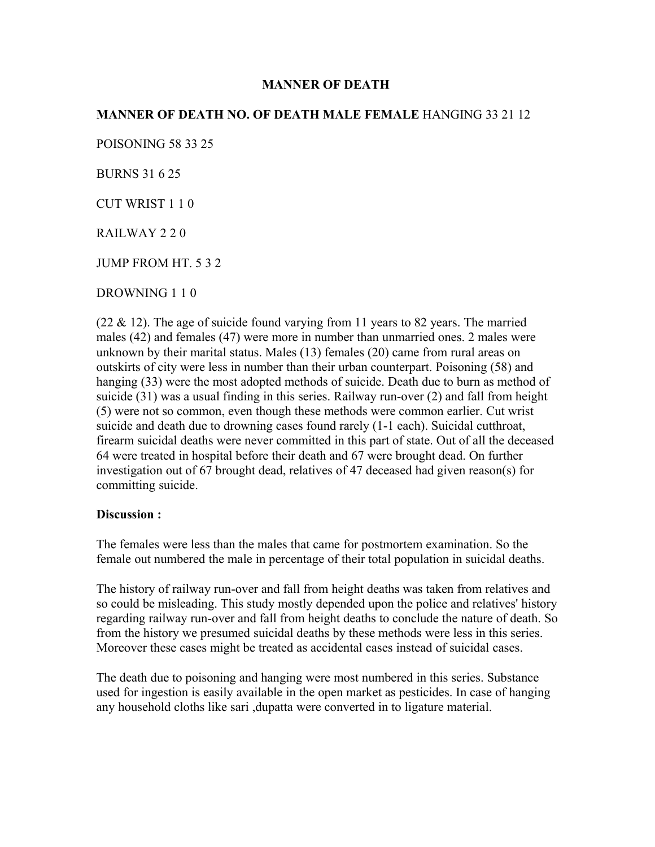#### **MANNER OF DEATH**

# **MANNER OF DEATH NO. OF DEATH MALE FEMALE** HANGING 33 21 12

POISONING 58 33 25

BURNS 31 6 25

CUT WRIST 1 1 0

RAILWAY 2 2 0

JUMP FROM HT. 5 3 2

DROWNING 1 1 0

 $(22 \& 12)$ . The age of suicide found varying from 11 years to 82 years. The married males (42) and females (47) were more in number than unmarried ones. 2 males were unknown by their marital status. Males (13) females (20) came from rural areas on outskirts of city were less in number than their urban counterpart. Poisoning (58) and hanging (33) were the most adopted methods of suicide. Death due to burn as method of suicide (31) was a usual finding in this series. Railway run-over (2) and fall from height (5) were not so common, even though these methods were common earlier. Cut wrist suicide and death due to drowning cases found rarely (1-1 each). Suicidal cutthroat, firearm suicidal deaths were never committed in this part of state. Out of all the deceased 64 were treated in hospital before their death and 67 were brought dead. On further investigation out of 67 brought dead, relatives of 47 deceased had given reason(s) for committing suicide.

#### **Discussion :**

The females were less than the males that came for postmortem examination. So the female out numbered the male in percentage of their total population in suicidal deaths.

The history of railway run-over and fall from height deaths was taken from relatives and so could be misleading. This study mostly depended upon the police and relatives' history regarding railway run-over and fall from height deaths to conclude the nature of death. So from the history we presumed suicidal deaths by these methods were less in this series. Moreover these cases might be treated as accidental cases instead of suicidal cases.

The death due to poisoning and hanging were most numbered in this series. Substance used for ingestion is easily available in the open market as pesticides. In case of hanging any household cloths like sari ,dupatta were converted in to ligature material.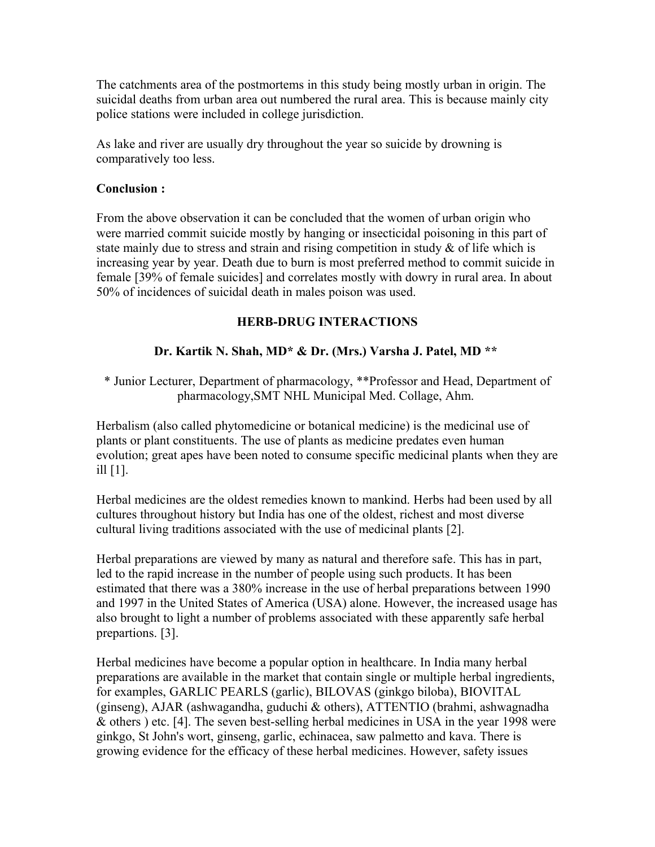The catchments area of the postmortems in this study being mostly urban in origin. The suicidal deaths from urban area out numbered the rural area. This is because mainly city police stations were included in college jurisdiction.

As lake and river are usually dry throughout the year so suicide by drowning is comparatively too less.

## **Conclusion :**

From the above observation it can be concluded that the women of urban origin who were married commit suicide mostly by hanging or insecticidal poisoning in this part of state mainly due to stress and strain and rising competition in study  $\&$  of life which is increasing year by year. Death due to burn is most preferred method to commit suicide in female [39% of female suicides] and correlates mostly with dowry in rural area. In about 50% of incidences of suicidal death in males poison was used.

# **HERB-DRUG INTERACTIONS**

# **Dr. Kartik N. Shah, MD\* & Dr. (Mrs.) Varsha J. Patel, MD \*\***

\* Junior Lecturer, Department of pharmacology, \*\*Professor and Head, Department of pharmacology,SMT NHL Municipal Med. Collage, Ahm.

Herbalism (also called phytomedicine or botanical medicine) is the medicinal use of plants or plant constituents. The use of plants as medicine predates even human evolution; great apes have been noted to consume specific medicinal plants when they are ill [1].

Herbal medicines are the oldest remedies known to mankind. Herbs had been used by all cultures throughout history but India has one of the oldest, richest and most diverse cultural living traditions associated with the use of medicinal plants [2].

Herbal preparations are viewed by many as natural and therefore safe. This has in part, led to the rapid increase in the number of people using such products. It has been estimated that there was a 380% increase in the use of herbal preparations between 1990 and 1997 in the United States of America (USA) alone. However, the increased usage has also brought to light a number of problems associated with these apparently safe herbal prepartions. [3].

Herbal medicines have become a popular option in healthcare. In India many herbal preparations are available in the market that contain single or multiple herbal ingredients, for examples, GARLIC PEARLS (garlic), BILOVAS (ginkgo biloba), BIOVITAL (ginseng), AJAR (ashwagandha, guduchi & others), ATTENTIO (brahmi, ashwagnadha & others ) etc. [4]. The seven best-selling herbal medicines in USA in the year 1998 were ginkgo, St John's wort, ginseng, garlic, echinacea, saw palmetto and kava. There is growing evidence for the efficacy of these herbal medicines. However, safety issues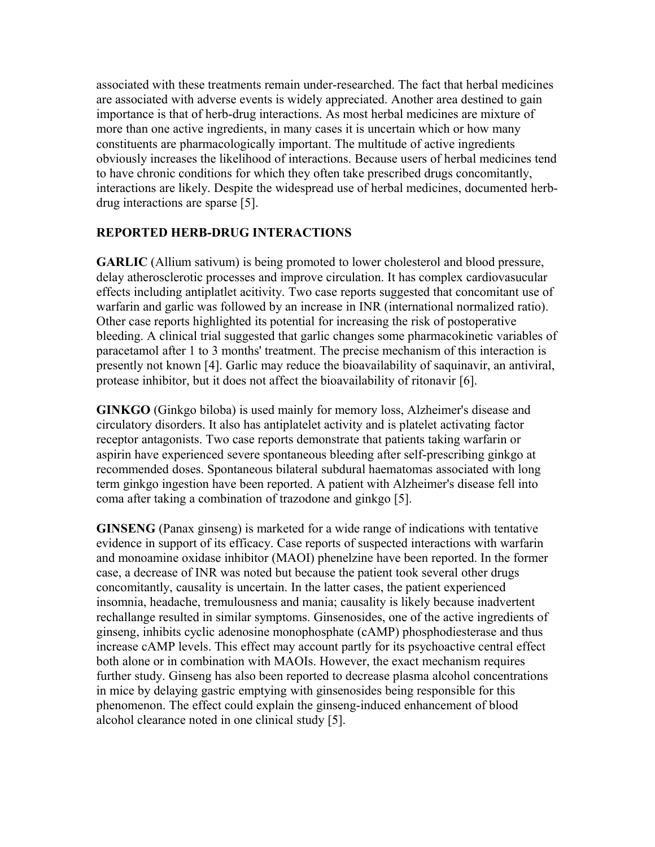associated with these treatments remain under-researched. The fact that herbal medicines are associated with adverse events is widely appreciated. Another area destined to gain importance is that of herb-drug interactions. As most herbal medicines are mixture of more than one active ingredients, in many cases it is uncertain which or how many constituents are pharmacologically important. The multitude of active ingredients obviously increases the likelihood of interactions. Because users of herbal medicines tend to have chronic conditions for which they often take prescribed drugs concomitantly, interactions are likely. Despite the widespread use of herbal medicines, documented herbdrug interactions are sparse [5].

#### **REPORTED HERB-DRUG INTERACTIONS**

**GARLIC** (Allium sativum) is being promoted to lower cholesterol and blood pressure, delay atherosclerotic processes and improve circulation. It has complex cardiovasucular effects including antiplatlet acitivity. Two case reports suggested that concomitant use of warfarin and garlic was followed by an increase in INR (international normalized ratio). Other case reports highlighted its potential for increasing the risk of postoperative bleeding. A clinical trial suggested that garlic changes some pharmacokinetic variables of paracetamol after 1 to 3 months' treatment. The precise mechanism of this interaction is presently not known [4]. Garlic may reduce the bioavailability of saquinavir, an antiviral, protease inhibitor, but it does not affect the bioavailability of ritonavir [6].

**GINKGO** (Ginkgo biloba) is used mainly for memory loss, Alzheimer's disease and circulatory disorders. It also has antiplatelet activity and is platelet activating factor receptor antagonists. Two case reports demonstrate that patients taking warfarin or aspirin have experienced severe spontaneous bleeding after self-prescribing ginkgo at recommended doses. Spontaneous bilateral subdural haematomas associated with long term ginkgo ingestion have been reported. A patient with Alzheimer's disease fell into coma after taking a combination of trazodone and ginkgo [5].

**GINSENG** (Panax ginseng) is marketed for a wide range of indications with tentative evidence in support of its efficacy. Case reports of suspected interactions with warfarin and monoamine oxidase inhibitor (MAOI) phenelzine have been reported. In the former case, a decrease of INR was noted but because the patient took several other drugs concomitantly, causality is uncertain. In the latter cases, the patient experienced insomnia, headache, tremulousness and mania; causality is likely because inadvertent rechallange resulted in similar symptoms. Ginsenosides, one of the active ingredients of ginseng, inhibits cyclic adenosine monophosphate (cAMP) phosphodiesterase and thus increase cAMP levels. This effect may account partly for its psychoactive central effect both alone or in combination with MAOIs. However, the exact mechanism requires further study. Ginseng has also been reported to decrease plasma alcohol concentrations in mice by delaying gastric emptying with ginsenosides being responsible for this phenomenon. The effect could explain the ginseng-induced enhancement of blood alcohol clearance noted in one clinical study [5].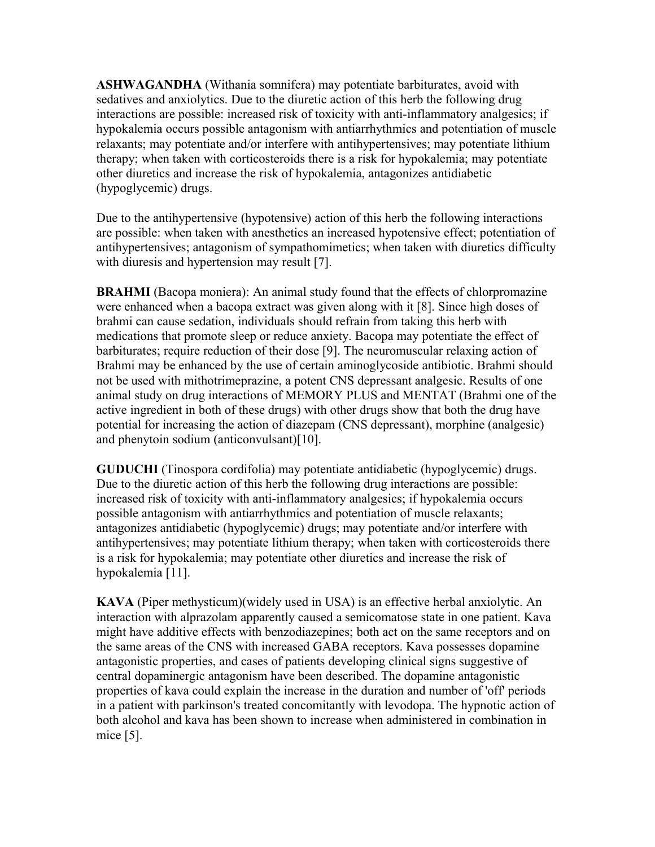**ASHWAGANDHA** (Withania somnifera) may potentiate barbiturates, avoid with sedatives and anxiolytics. Due to the diuretic action of this herb the following drug interactions are possible: increased risk of toxicity with anti-inflammatory analgesics; if hypokalemia occurs possible antagonism with antiarrhythmics and potentiation of muscle relaxants; may potentiate and/or interfere with antihypertensives; may potentiate lithium therapy; when taken with corticosteroids there is a risk for hypokalemia; may potentiate other diuretics and increase the risk of hypokalemia, antagonizes antidiabetic (hypoglycemic) drugs.

Due to the antihypertensive (hypotensive) action of this herb the following interactions are possible: when taken with anesthetics an increased hypotensive effect; potentiation of antihypertensives; antagonism of sympathomimetics; when taken with diuretics difficulty with diuresis and hypertension may result [7].

**BRAHMI** (Bacopa moniera): An animal study found that the effects of chlorpromazine were enhanced when a bacopa extract was given along with it [8]. Since high doses of brahmi can cause sedation, individuals should refrain from taking this herb with medications that promote sleep or reduce anxiety. Bacopa may potentiate the effect of barbiturates; require reduction of their dose [9]. The neuromuscular relaxing action of Brahmi may be enhanced by the use of certain aminoglycoside antibiotic. Brahmi should not be used with mithotrimeprazine, a potent CNS depressant analgesic. Results of one animal study on drug interactions of MEMORY PLUS and MENTAT (Brahmi one of the active ingredient in both of these drugs) with other drugs show that both the drug have potential for increasing the action of diazepam (CNS depressant), morphine (analgesic) and phenytoin sodium (anticonvulsant)[10].

**GUDUCHI** (Tinospora cordifolia) may potentiate antidiabetic (hypoglycemic) drugs. Due to the diuretic action of this herb the following drug interactions are possible: increased risk of toxicity with anti-inflammatory analgesics; if hypokalemia occurs possible antagonism with antiarrhythmics and potentiation of muscle relaxants; antagonizes antidiabetic (hypoglycemic) drugs; may potentiate and/or interfere with antihypertensives; may potentiate lithium therapy; when taken with corticosteroids there is a risk for hypokalemia; may potentiate other diuretics and increase the risk of hypokalemia [11].

**KAVA** (Piper methysticum)(widely used in USA) is an effective herbal anxiolytic. An interaction with alprazolam apparently caused a semicomatose state in one patient. Kava might have additive effects with benzodiazepines; both act on the same receptors and on the same areas of the CNS with increased GABA receptors. Kava possesses dopamine antagonistic properties, and cases of patients developing clinical signs suggestive of central dopaminergic antagonism have been described. The dopamine antagonistic properties of kava could explain the increase in the duration and number of 'off' periods in a patient with parkinson's treated concomitantly with levodopa. The hypnotic action of both alcohol and kava has been shown to increase when administered in combination in mice [5].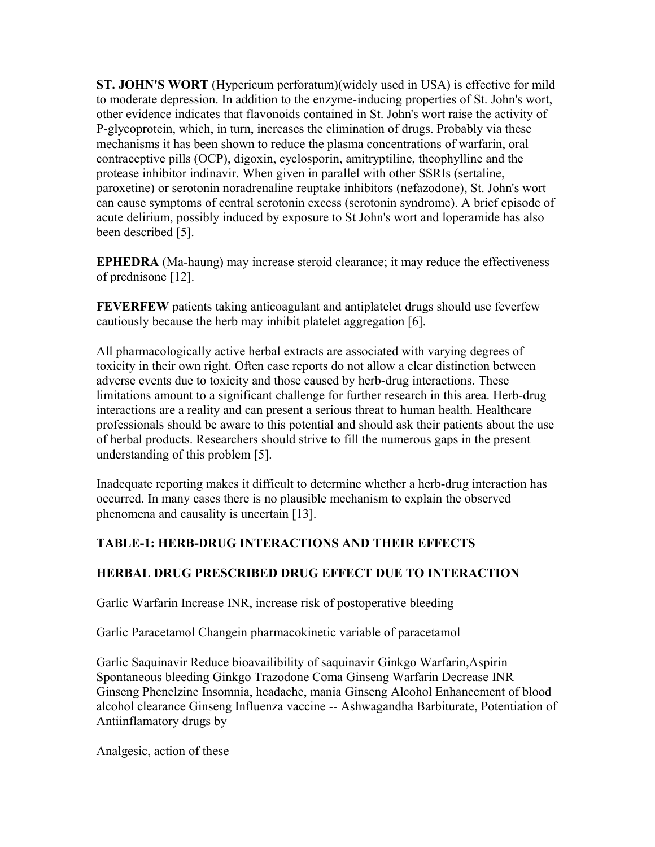**ST. JOHN'S WORT** (Hypericum perforatum)(widely used in USA) is effective for mild to moderate depression. In addition to the enzyme-inducing properties of St. John's wort, other evidence indicates that flavonoids contained in St. John's wort raise the activity of P-glycoprotein, which, in turn, increases the elimination of drugs. Probably via these mechanisms it has been shown to reduce the plasma concentrations of warfarin, oral contraceptive pills (OCP), digoxin, cyclosporin, amitryptiline, theophylline and the protease inhibitor indinavir. When given in parallel with other SSRIs (sertaline, paroxetine) or serotonin noradrenaline reuptake inhibitors (nefazodone), St. John's wort can cause symptoms of central serotonin excess (serotonin syndrome). A brief episode of acute delirium, possibly induced by exposure to St John's wort and loperamide has also been described [5].

**EPHEDRA** (Ma-haung) may increase steroid clearance; it may reduce the effectiveness of prednisone [12].

**FEVERFEW** patients taking anticoagulant and antiplatelet drugs should use feverfew cautiously because the herb may inhibit platelet aggregation [6].

All pharmacologically active herbal extracts are associated with varying degrees of toxicity in their own right. Often case reports do not allow a clear distinction between adverse events due to toxicity and those caused by herb-drug interactions. These limitations amount to a significant challenge for further research in this area. Herb-drug interactions are a reality and can present a serious threat to human health. Healthcare professionals should be aware to this potential and should ask their patients about the use of herbal products. Researchers should strive to fill the numerous gaps in the present understanding of this problem [5].

Inadequate reporting makes it difficult to determine whether a herb-drug interaction has occurred. In many cases there is no plausible mechanism to explain the observed phenomena and causality is uncertain [13].

# **TABLE-1: HERB-DRUG INTERACTIONS AND THEIR EFFECTS**

# **HERBAL DRUG PRESCRIBED DRUG EFFECT DUE TO INTERACTION**

Garlic Warfarin Increase INR, increase risk of postoperative bleeding

Garlic Paracetamol Changein pharmacokinetic variable of paracetamol

Garlic Saquinavir Reduce bioavailibility of saquinavir Ginkgo Warfarin,Aspirin Spontaneous bleeding Ginkgo Trazodone Coma Ginseng Warfarin Decrease INR Ginseng Phenelzine Insomnia, headache, mania Ginseng Alcohol Enhancement of blood alcohol clearance Ginseng Influenza vaccine -- Ashwagandha Barbiturate, Potentiation of Antiinflamatory drugs by

Analgesic, action of these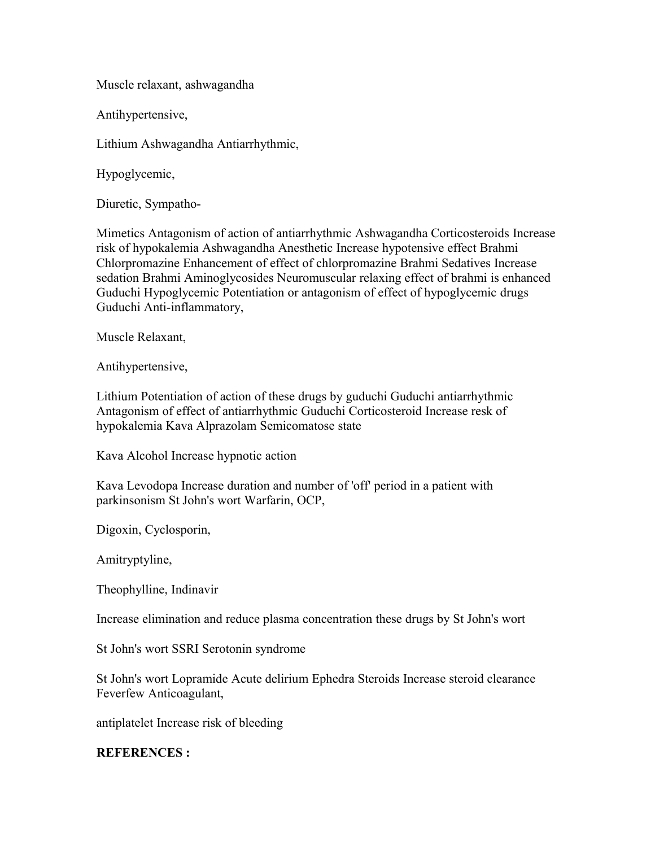Muscle relaxant, ashwagandha

Antihypertensive,

Lithium Ashwagandha Antiarrhythmic,

Hypoglycemic,

Diuretic, Sympatho-

Mimetics Antagonism of action of antiarrhythmic Ashwagandha Corticosteroids Increase risk of hypokalemia Ashwagandha Anesthetic Increase hypotensive effect Brahmi Chlorpromazine Enhancement of effect of chlorpromazine Brahmi Sedatives Increase sedation Brahmi Aminoglycosides Neuromuscular relaxing effect of brahmi is enhanced Guduchi Hypoglycemic Potentiation or antagonism of effect of hypoglycemic drugs Guduchi Anti-inflammatory,

Muscle Relaxant,

Antihypertensive,

Lithium Potentiation of action of these drugs by guduchi Guduchi antiarrhythmic Antagonism of effect of antiarrhythmic Guduchi Corticosteroid Increase resk of hypokalemia Kava Alprazolam Semicomatose state

Kava Alcohol Increase hypnotic action

Kava Levodopa Increase duration and number of 'off' period in a patient with parkinsonism St John's wort Warfarin, OCP,

Digoxin, Cyclosporin,

Amitryptyline,

Theophylline, Indinavir

Increase elimination and reduce plasma concentration these drugs by St John's wort

St John's wort SSRI Serotonin syndrome

St John's wort Lopramide Acute delirium Ephedra Steroids Increase steroid clearance Feverfew Anticoagulant,

antiplatelet Increase risk of bleeding

#### **REFERENCES :**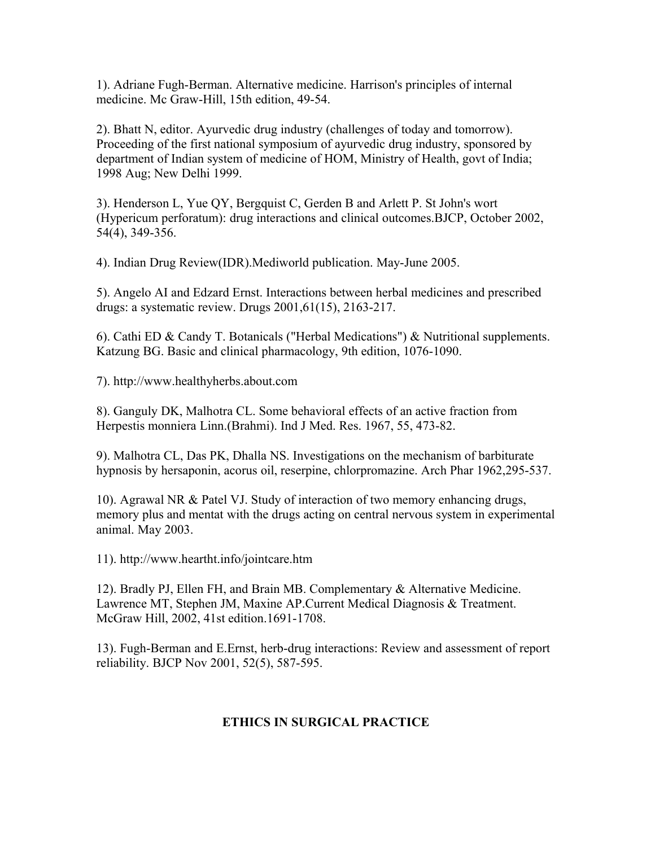1). Adriane Fugh-Berman. Alternative medicine. Harrison's principles of internal medicine. Mc Graw-Hill, 15th edition, 49-54.

2). Bhatt N, editor. Ayurvedic drug industry (challenges of today and tomorrow). Proceeding of the first national symposium of ayurvedic drug industry, sponsored by department of Indian system of medicine of HOM, Ministry of Health, govt of India; 1998 Aug; New Delhi 1999.

3). Henderson L, Yue QY, Bergquist C, Gerden B and Arlett P. St John's wort (Hypericum perforatum): drug interactions and clinical outcomes.BJCP, October 2002, 54(4), 349-356.

4). Indian Drug Review(IDR).Mediworld publication. May-June 2005.

5). Angelo AI and Edzard Ernst. Interactions between herbal medicines and prescribed drugs: a systematic review. Drugs 2001,61(15), 2163-217.

6). Cathi ED & Candy T. Botanicals ("Herbal Medications") & Nutritional supplements. Katzung BG. Basic and clinical pharmacology, 9th edition, 1076-1090.

7). http://www.healthyherbs.about.com

8). Ganguly DK, Malhotra CL. Some behavioral effects of an active fraction from Herpestis monniera Linn.(Brahmi). Ind J Med. Res. 1967, 55, 473-82.

9). Malhotra CL, Das PK, Dhalla NS. Investigations on the mechanism of barbiturate hypnosis by hersaponin, acorus oil, reserpine, chlorpromazine. Arch Phar 1962,295-537.

10). Agrawal NR & Patel VJ. Study of interaction of two memory enhancing drugs, memory plus and mentat with the drugs acting on central nervous system in experimental animal. May 2003.

11). http://www.heartht.info/jointcare.htm

12). Bradly PJ, Ellen FH, and Brain MB. Complementary & Alternative Medicine. Lawrence MT, Stephen JM, Maxine AP.Current Medical Diagnosis & Treatment. McGraw Hill, 2002, 41st edition.1691-1708.

13). Fugh-Berman and E.Ernst, herb-drug interactions: Review and assessment of report reliability. BJCP Nov 2001, 52(5), 587-595.

# **ETHICS IN SURGICAL PRACTICE**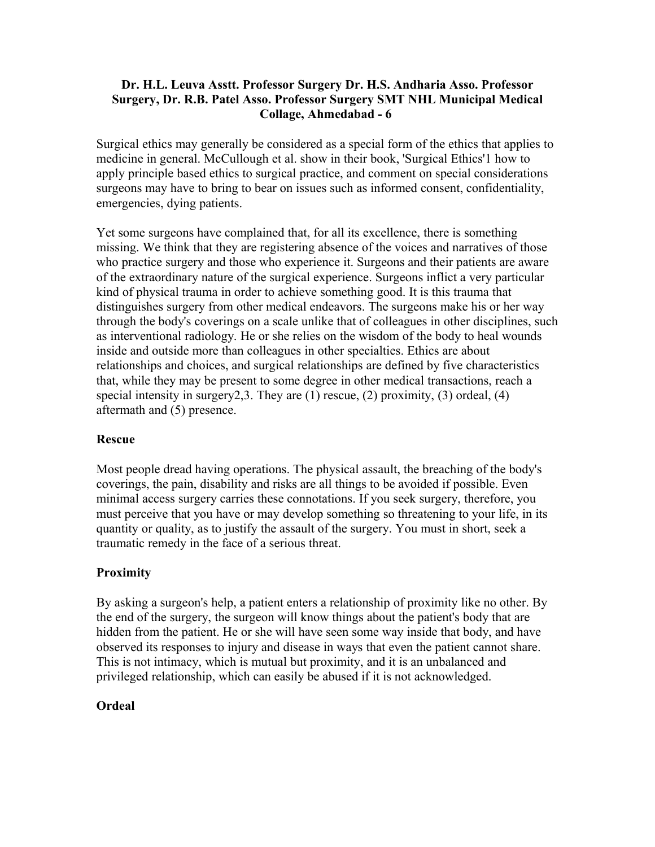## **Dr. H.L. Leuva Asstt. Professor Surgery Dr. H.S. Andharia Asso. Professor Surgery, Dr. R.B. Patel Asso. Professor Surgery SMT NHL Municipal Medical Collage, Ahmedabad - 6**

Surgical ethics may generally be considered as a special form of the ethics that applies to medicine in general. McCullough et al. show in their book, 'Surgical Ethics'1 how to apply principle based ethics to surgical practice, and comment on special considerations surgeons may have to bring to bear on issues such as informed consent, confidentiality, emergencies, dying patients.

Yet some surgeons have complained that, for all its excellence, there is something missing. We think that they are registering absence of the voices and narratives of those who practice surgery and those who experience it. Surgeons and their patients are aware of the extraordinary nature of the surgical experience. Surgeons inflict a very particular kind of physical trauma in order to achieve something good. It is this trauma that distinguishes surgery from other medical endeavors. The surgeons make his or her way through the body's coverings on a scale unlike that of colleagues in other disciplines, such as interventional radiology. He or she relies on the wisdom of the body to heal wounds inside and outside more than colleagues in other specialties. Ethics are about relationships and choices, and surgical relationships are defined by five characteristics that, while they may be present to some degree in other medical transactions, reach a special intensity in surgery2,3. They are (1) rescue, (2) proximity, (3) ordeal, (4) aftermath and (5) presence.

# **Rescue**

Most people dread having operations. The physical assault, the breaching of the body's coverings, the pain, disability and risks are all things to be avoided if possible. Even minimal access surgery carries these connotations. If you seek surgery, therefore, you must perceive that you have or may develop something so threatening to your life, in its quantity or quality, as to justify the assault of the surgery. You must in short, seek a traumatic remedy in the face of a serious threat.

# **Proximity**

By asking a surgeon's help, a patient enters a relationship of proximity like no other. By the end of the surgery, the surgeon will know things about the patient's body that are hidden from the patient. He or she will have seen some way inside that body, and have observed its responses to injury and disease in ways that even the patient cannot share. This is not intimacy, which is mutual but proximity, and it is an unbalanced and privileged relationship, which can easily be abused if it is not acknowledged.

# **Ordeal**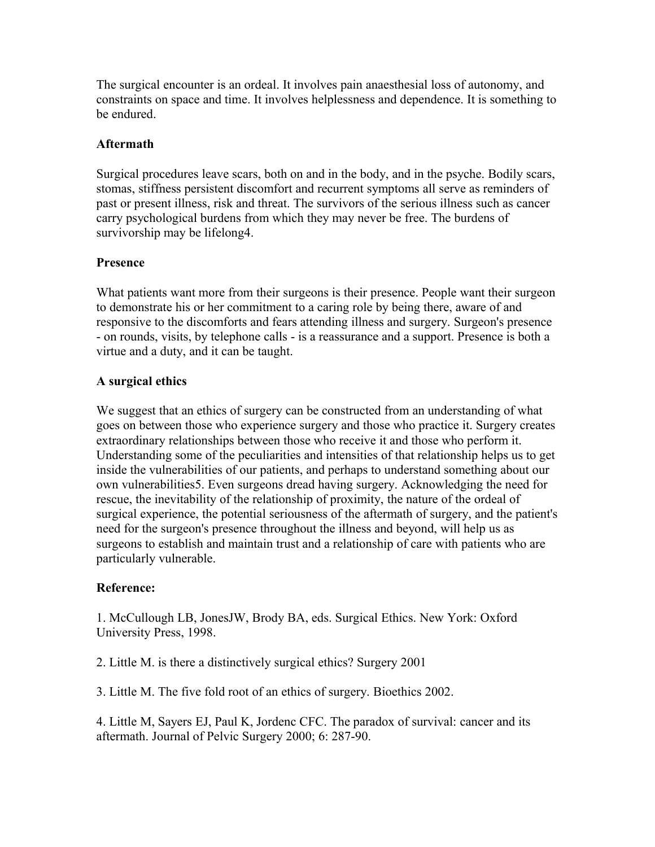The surgical encounter is an ordeal. It involves pain anaesthesial loss of autonomy, and constraints on space and time. It involves helplessness and dependence. It is something to be endured.

# **Aftermath**

Surgical procedures leave scars, both on and in the body, and in the psyche. Bodily scars, stomas, stiffness persistent discomfort and recurrent symptoms all serve as reminders of past or present illness, risk and threat. The survivors of the serious illness such as cancer carry psychological burdens from which they may never be free. The burdens of survivorship may be lifelong4.

# **Presence**

What patients want more from their surgeons is their presence. People want their surgeon to demonstrate his or her commitment to a caring role by being there, aware of and responsive to the discomforts and fears attending illness and surgery. Surgeon's presence - on rounds, visits, by telephone calls - is a reassurance and a support. Presence is both a virtue and a duty, and it can be taught.

# **A surgical ethics**

We suggest that an ethics of surgery can be constructed from an understanding of what goes on between those who experience surgery and those who practice it. Surgery creates extraordinary relationships between those who receive it and those who perform it. Understanding some of the peculiarities and intensities of that relationship helps us to get inside the vulnerabilities of our patients, and perhaps to understand something about our own vulnerabilities5. Even surgeons dread having surgery. Acknowledging the need for rescue, the inevitability of the relationship of proximity, the nature of the ordeal of surgical experience, the potential seriousness of the aftermath of surgery, and the patient's need for the surgeon's presence throughout the illness and beyond, will help us as surgeons to establish and maintain trust and a relationship of care with patients who are particularly vulnerable.

# **Reference:**

1. McCullough LB, JonesJW, Brody BA, eds. Surgical Ethics. New York: Oxford University Press, 1998.

2. Little M. is there a distinctively surgical ethics? Surgery 2001

3. Little M. The five fold root of an ethics of surgery. Bioethics 2002.

4. Little M, Sayers EJ, Paul K, Jordenc CFC. The paradox of survival: cancer and its aftermath. Journal of Pelvic Surgery 2000; 6: 287-90.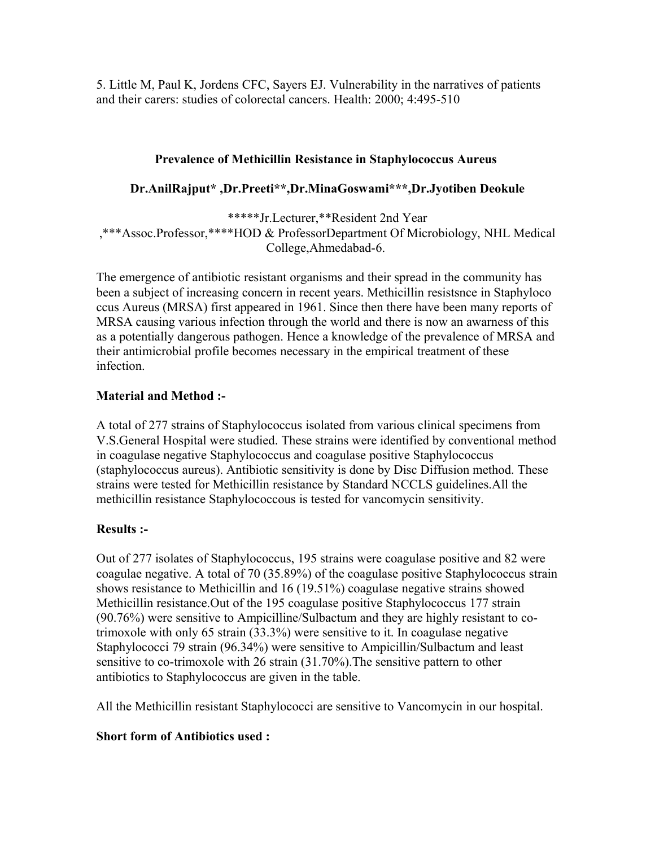5. Little M, Paul K, Jordens CFC, Sayers EJ. Vulnerability in the narratives of patients and their carers: studies of colorectal cancers. Health: 2000; 4:495-510

# **Prevalence of Methicillin Resistance in Staphylococcus Aureus**

# **Dr.AnilRajput\* ,Dr.Preeti\*\*,Dr.MinaGoswami\*\*\*,Dr.Jyotiben Deokule**

\*\*\*\*\*Jr.Lecturer,\*\*Resident 2nd Year ,\*\*\*Assoc.Professor,\*\*\*\*HOD & ProfessorDepartment Of Microbiology, NHL Medical College,Ahmedabad-6.

The emergence of antibiotic resistant organisms and their spread in the community has been a subject of increasing concern in recent years. Methicillin resistsnce in Staphyloco ccus Aureus (MRSA) first appeared in 1961. Since then there have been many reports of MRSA causing various infection through the world and there is now an awarness of this as a potentially dangerous pathogen. Hence a knowledge of the prevalence of MRSA and their antimicrobial profile becomes necessary in the empirical treatment of these infection.

# **Material and Method :-**

A total of 277 strains of Staphylococcus isolated from various clinical specimens from V.S.General Hospital were studied. These strains were identified by conventional method in coagulase negative Staphylococcus and coagulase positive Staphylococcus (staphylococcus aureus). Antibiotic sensitivity is done by Disc Diffusion method. These strains were tested for Methicillin resistance by Standard NCCLS guidelines.All the methicillin resistance Staphylococcous is tested for vancomycin sensitivity.

# **Results :-**

Out of 277 isolates of Staphylococcus, 195 strains were coagulase positive and 82 were coagulae negative. A total of 70 (35.89%) of the coagulase positive Staphylococcus strain shows resistance to Methicillin and 16 (19.51%) coagulase negative strains showed Methicillin resistance.Out of the 195 coagulase positive Staphylococcus 177 strain (90.76%) were sensitive to Ampicilline/Sulbactum and they are highly resistant to cotrimoxole with only 65 strain (33.3%) were sensitive to it. In coagulase negative Staphylococci 79 strain (96.34%) were sensitive to Ampicillin/Sulbactum and least sensitive to co-trimoxole with 26 strain (31.70%).The sensitive pattern to other antibiotics to Staphylococcus are given in the table.

All the Methicillin resistant Staphylococci are sensitive to Vancomycin in our hospital.

# **Short form of Antibiotics used :**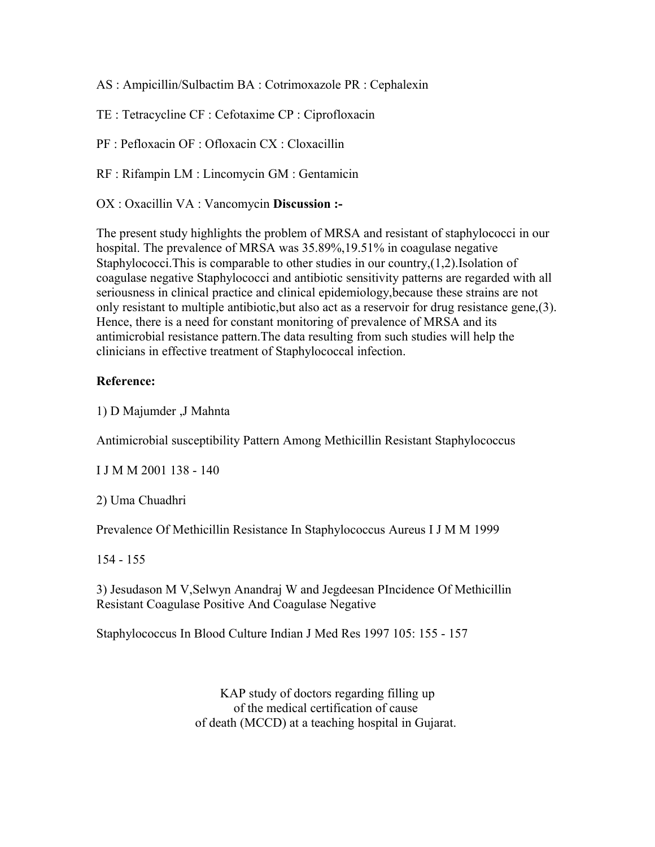AS : Ampicillin/Sulbactim BA : Cotrimoxazole PR : Cephalexin

TE : Tetracycline CF : Cefotaxime CP : Ciprofloxacin

PF : Pefloxacin OF : Ofloxacin CX : Cloxacillin

RF : Rifampin LM : Lincomycin GM : Gentamicin

OX : Oxacillin VA : Vancomycin **Discussion :-** 

The present study highlights the problem of MRSA and resistant of staphylococci in our hospital. The prevalence of MRSA was 35.89%,19.51% in coagulase negative Staphylococci. This is comparable to other studies in our country, $(1,2)$ . Isolation of coagulase negative Staphylococci and antibiotic sensitivity patterns are regarded with all seriousness in clinical practice and clinical epidemiology,because these strains are not only resistant to multiple antibiotic,but also act as a reservoir for drug resistance gene,(3). Hence, there is a need for constant monitoring of prevalence of MRSA and its antimicrobial resistance pattern.The data resulting from such studies will help the clinicians in effective treatment of Staphylococcal infection.

#### **Reference:**

1) D Majumder ,J Mahnta

Antimicrobial susceptibility Pattern Among Methicillin Resistant Staphylococcus

I J M M 2001 138 - 140

2) Uma Chuadhri

Prevalence Of Methicillin Resistance In Staphylococcus Aureus I J M M 1999

154 - 155

3) Jesudason M V,Selwyn Anandraj W and Jegdeesan PIncidence Of Methicillin Resistant Coagulase Positive And Coagulase Negative

Staphylococcus In Blood Culture Indian J Med Res 1997 105: 155 - 157

KAP study of doctors regarding filling up of the medical certification of cause of death (MCCD) at a teaching hospital in Gujarat.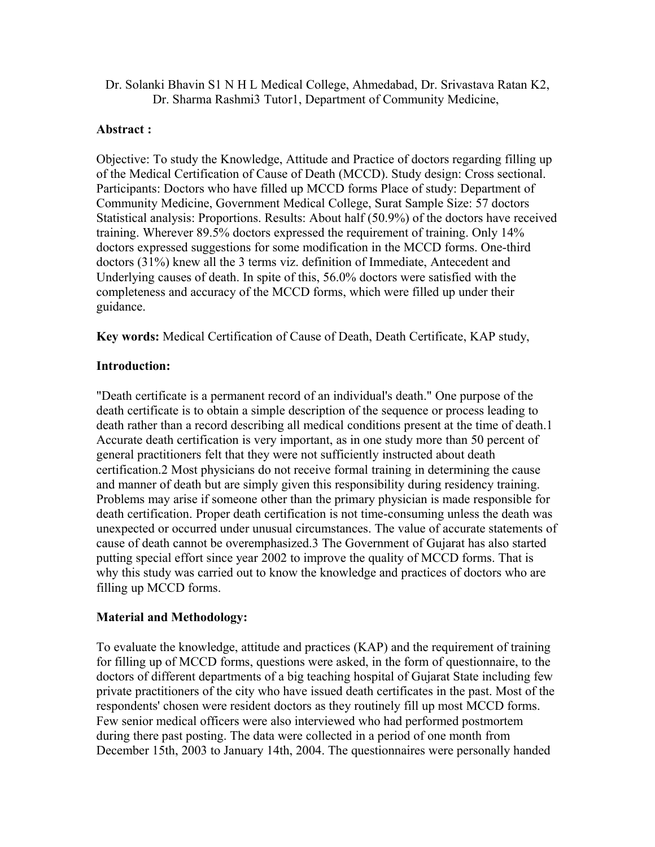Dr. Solanki Bhavin S1 N H L Medical College, Ahmedabad, Dr. Srivastava Ratan K2, Dr. Sharma Rashmi3 Tutor1, Department of Community Medicine,

#### **Abstract :**

Objective: To study the Knowledge, Attitude and Practice of doctors regarding filling up of the Medical Certification of Cause of Death (MCCD). Study design: Cross sectional. Participants: Doctors who have filled up MCCD forms Place of study: Department of Community Medicine, Government Medical College, Surat Sample Size: 57 doctors Statistical analysis: Proportions. Results: About half (50.9%) of the doctors have received training. Wherever 89.5% doctors expressed the requirement of training. Only 14% doctors expressed suggestions for some modification in the MCCD forms. One-third doctors (31%) knew all the 3 terms viz. definition of Immediate, Antecedent and Underlying causes of death. In spite of this, 56.0% doctors were satisfied with the completeness and accuracy of the MCCD forms, which were filled up under their guidance.

**Key words:** Medical Certification of Cause of Death, Death Certificate, KAP study,

#### **Introduction:**

"Death certificate is a permanent record of an individual's death." One purpose of the death certificate is to obtain a simple description of the sequence or process leading to death rather than a record describing all medical conditions present at the time of death.1 Accurate death certification is very important, as in one study more than 50 percent of general practitioners felt that they were not sufficiently instructed about death certification.2 Most physicians do not receive formal training in determining the cause and manner of death but are simply given this responsibility during residency training. Problems may arise if someone other than the primary physician is made responsible for death certification. Proper death certification is not time-consuming unless the death was unexpected or occurred under unusual circumstances. The value of accurate statements of cause of death cannot be overemphasized.3 The Government of Gujarat has also started putting special effort since year 2002 to improve the quality of MCCD forms. That is why this study was carried out to know the knowledge and practices of doctors who are filling up MCCD forms.

# **Material and Methodology:**

To evaluate the knowledge, attitude and practices (KAP) and the requirement of training for filling up of MCCD forms, questions were asked, in the form of questionnaire, to the doctors of different departments of a big teaching hospital of Gujarat State including few private practitioners of the city who have issued death certificates in the past. Most of the respondents' chosen were resident doctors as they routinely fill up most MCCD forms. Few senior medical officers were also interviewed who had performed postmortem during there past posting. The data were collected in a period of one month from December 15th, 2003 to January 14th, 2004. The questionnaires were personally handed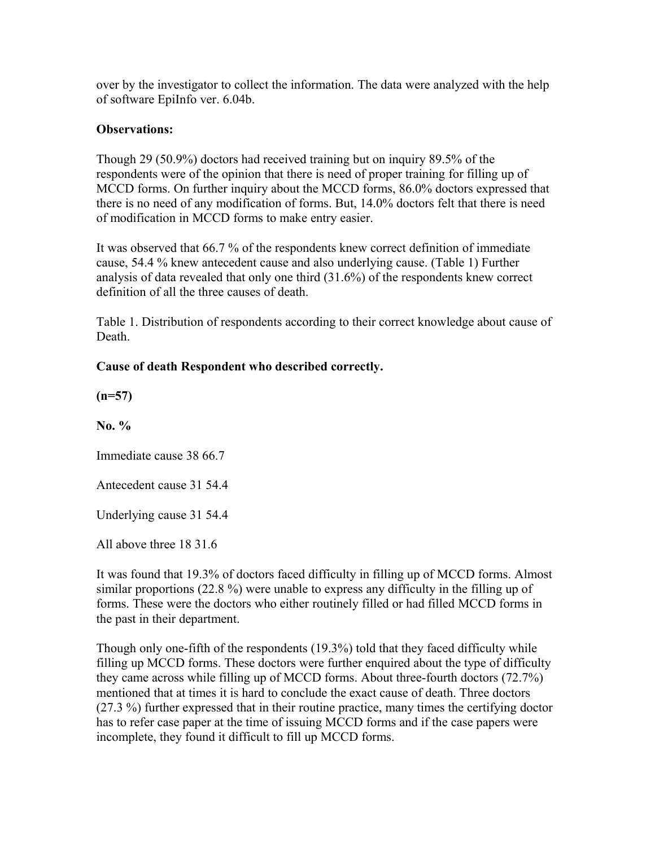over by the investigator to collect the information. The data were analyzed with the help of software EpiInfo ver. 6.04b.

#### **Observations:**

Though 29 (50.9%) doctors had received training but on inquiry 89.5% of the respondents were of the opinion that there is need of proper training for filling up of MCCD forms. On further inquiry about the MCCD forms, 86.0% doctors expressed that there is no need of any modification of forms. But, 14.0% doctors felt that there is need of modification in MCCD forms to make entry easier.

It was observed that 66.7 % of the respondents knew correct definition of immediate cause, 54.4 % knew antecedent cause and also underlying cause. (Table 1) Further analysis of data revealed that only one third (31.6%) of the respondents knew correct definition of all the three causes of death.

Table 1. Distribution of respondents according to their correct knowledge about cause of **Death** 

# **Cause of death Respondent who described correctly.**

**(n=57)** 

**No. %** 

Immediate cause 38 66.7

Antecedent cause 31 54.4

Underlying cause 31 54.4

All above three 18 31.6

It was found that 19.3% of doctors faced difficulty in filling up of MCCD forms. Almost similar proportions (22.8 %) were unable to express any difficulty in the filling up of forms. These were the doctors who either routinely filled or had filled MCCD forms in the past in their department.

Though only one-fifth of the respondents (19.3%) told that they faced difficulty while filling up MCCD forms. These doctors were further enquired about the type of difficulty they came across while filling up of MCCD forms. About three-fourth doctors (72.7%) mentioned that at times it is hard to conclude the exact cause of death. Three doctors (27.3 %) further expressed that in their routine practice, many times the certifying doctor has to refer case paper at the time of issuing MCCD forms and if the case papers were incomplete, they found it difficult to fill up MCCD forms.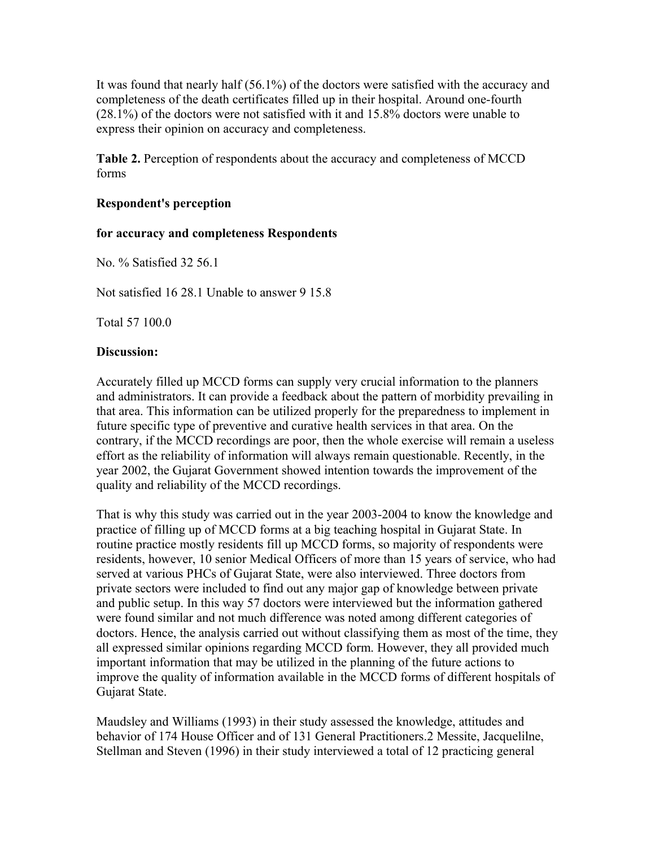It was found that nearly half (56.1%) of the doctors were satisfied with the accuracy and completeness of the death certificates filled up in their hospital. Around one-fourth (28.1%) of the doctors were not satisfied with it and 15.8% doctors were unable to express their opinion on accuracy and completeness.

**Table 2.** Perception of respondents about the accuracy and completeness of MCCD forms

#### **Respondent's perception**

#### **for accuracy and completeness Respondents**

No. % Satisfied 32 56.1

Not satisfied 16 28.1 Unable to answer 9 15.8

Total 57 100.0

#### **Discussion:**

Accurately filled up MCCD forms can supply very crucial information to the planners and administrators. It can provide a feedback about the pattern of morbidity prevailing in that area. This information can be utilized properly for the preparedness to implement in future specific type of preventive and curative health services in that area. On the contrary, if the MCCD recordings are poor, then the whole exercise will remain a useless effort as the reliability of information will always remain questionable. Recently, in the year 2002, the Gujarat Government showed intention towards the improvement of the quality and reliability of the MCCD recordings.

That is why this study was carried out in the year 2003-2004 to know the knowledge and practice of filling up of MCCD forms at a big teaching hospital in Gujarat State. In routine practice mostly residents fill up MCCD forms, so majority of respondents were residents, however, 10 senior Medical Officers of more than 15 years of service, who had served at various PHCs of Gujarat State, were also interviewed. Three doctors from private sectors were included to find out any major gap of knowledge between private and public setup. In this way 57 doctors were interviewed but the information gathered were found similar and not much difference was noted among different categories of doctors. Hence, the analysis carried out without classifying them as most of the time, they all expressed similar opinions regarding MCCD form. However, they all provided much important information that may be utilized in the planning of the future actions to improve the quality of information available in the MCCD forms of different hospitals of Gujarat State.

Maudsley and Williams (1993) in their study assessed the knowledge, attitudes and behavior of 174 House Officer and of 131 General Practitioners.2 Messite, Jacquelilne, Stellman and Steven (1996) in their study interviewed a total of 12 practicing general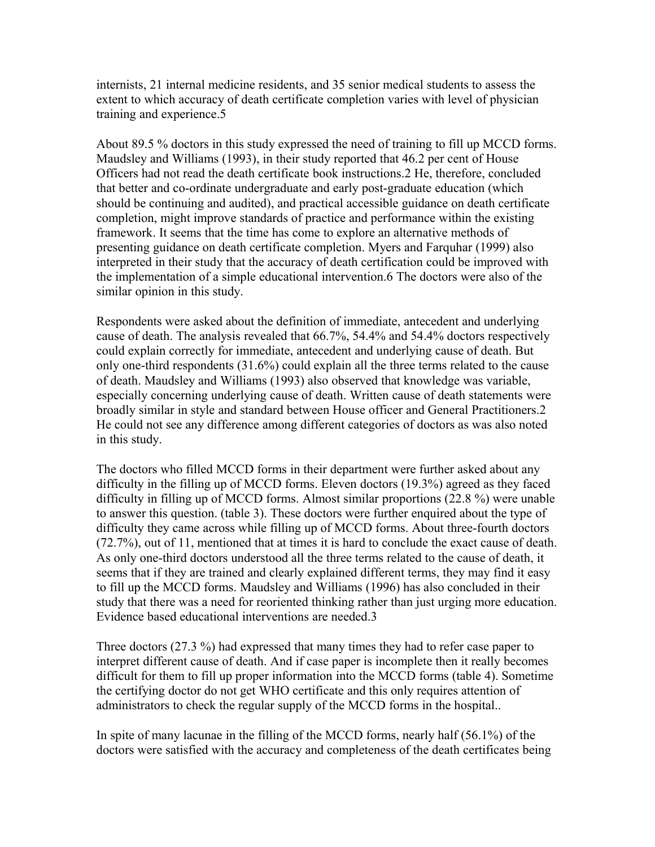internists, 21 internal medicine residents, and 35 senior medical students to assess the extent to which accuracy of death certificate completion varies with level of physician training and experience.5

About 89.5 % doctors in this study expressed the need of training to fill up MCCD forms. Maudsley and Williams (1993), in their study reported that 46.2 per cent of House Officers had not read the death certificate book instructions.2 He, therefore, concluded that better and co-ordinate undergraduate and early post-graduate education (which should be continuing and audited), and practical accessible guidance on death certificate completion, might improve standards of practice and performance within the existing framework. It seems that the time has come to explore an alternative methods of presenting guidance on death certificate completion. Myers and Farquhar (1999) also interpreted in their study that the accuracy of death certification could be improved with the implementation of a simple educational intervention.6 The doctors were also of the similar opinion in this study.

Respondents were asked about the definition of immediate, antecedent and underlying cause of death. The analysis revealed that 66.7%, 54.4% and 54.4% doctors respectively could explain correctly for immediate, antecedent and underlying cause of death. But only one-third respondents (31.6%) could explain all the three terms related to the cause of death. Maudsley and Williams (1993) also observed that knowledge was variable, especially concerning underlying cause of death. Written cause of death statements were broadly similar in style and standard between House officer and General Practitioners.2 He could not see any difference among different categories of doctors as was also noted in this study.

The doctors who filled MCCD forms in their department were further asked about any difficulty in the filling up of MCCD forms. Eleven doctors (19.3%) agreed as they faced difficulty in filling up of MCCD forms. Almost similar proportions (22.8 %) were unable to answer this question. (table 3). These doctors were further enquired about the type of difficulty they came across while filling up of MCCD forms. About three-fourth doctors (72.7%), out of 11, mentioned that at times it is hard to conclude the exact cause of death. As only one-third doctors understood all the three terms related to the cause of death, it seems that if they are trained and clearly explained different terms, they may find it easy to fill up the MCCD forms. Maudsley and Williams (1996) has also concluded in their study that there was a need for reoriented thinking rather than just urging more education. Evidence based educational interventions are needed.3

Three doctors (27.3 %) had expressed that many times they had to refer case paper to interpret different cause of death. And if case paper is incomplete then it really becomes difficult for them to fill up proper information into the MCCD forms (table 4). Sometime the certifying doctor do not get WHO certificate and this only requires attention of administrators to check the regular supply of the MCCD forms in the hospital..

In spite of many lacunae in the filling of the MCCD forms, nearly half (56.1%) of the doctors were satisfied with the accuracy and completeness of the death certificates being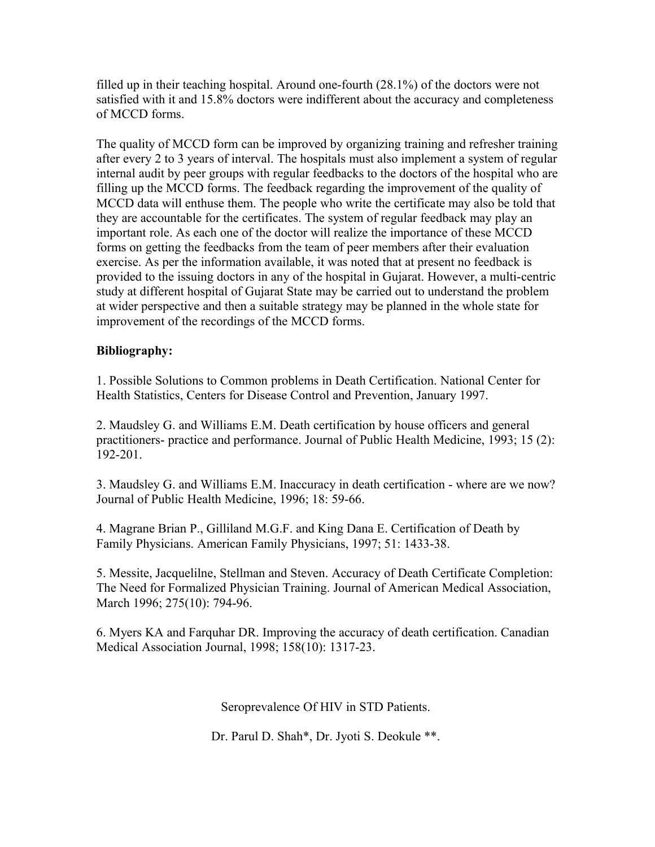filled up in their teaching hospital. Around one-fourth (28.1%) of the doctors were not satisfied with it and 15.8% doctors were indifferent about the accuracy and completeness of MCCD forms.

The quality of MCCD form can be improved by organizing training and refresher training after every 2 to 3 years of interval. The hospitals must also implement a system of regular internal audit by peer groups with regular feedbacks to the doctors of the hospital who are filling up the MCCD forms. The feedback regarding the improvement of the quality of MCCD data will enthuse them. The people who write the certificate may also be told that they are accountable for the certificates. The system of regular feedback may play an important role. As each one of the doctor will realize the importance of these MCCD forms on getting the feedbacks from the team of peer members after their evaluation exercise. As per the information available, it was noted that at present no feedback is provided to the issuing doctors in any of the hospital in Gujarat. However, a multi-centric study at different hospital of Gujarat State may be carried out to understand the problem at wider perspective and then a suitable strategy may be planned in the whole state for improvement of the recordings of the MCCD forms.

#### **Bibliography:**

1. Possible Solutions to Common problems in Death Certification. National Center for Health Statistics, Centers for Disease Control and Prevention, January 1997.

2. Maudsley G. and Williams E.M. Death certification by house officers and general practitioners- practice and performance. Journal of Public Health Medicine, 1993; 15 (2): 192-201.

3. Maudsley G. and Williams E.M. Inaccuracy in death certification - where are we now? Journal of Public Health Medicine, 1996; 18: 59-66.

4. Magrane Brian P., Gilliland M.G.F. and King Dana E. Certification of Death by Family Physicians. American Family Physicians, 1997; 51: 1433-38.

5. Messite, Jacquelilne, Stellman and Steven. Accuracy of Death Certificate Completion: The Need for Formalized Physician Training. Journal of American Medical Association, March 1996; 275(10): 794-96.

6. Myers KA and Farquhar DR. Improving the accuracy of death certification. Canadian Medical Association Journal, 1998; 158(10): 1317-23.

Seroprevalence Of HIV in STD Patients.

Dr. Parul D. Shah\*, Dr. Jyoti S. Deokule \*\*.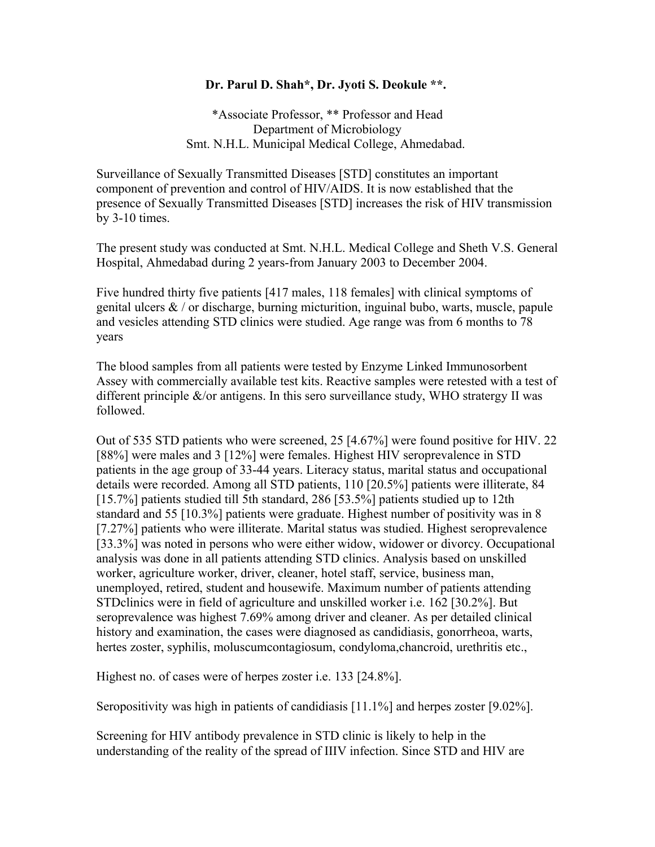#### **Dr. Parul D. Shah\*, Dr. Jyoti S. Deokule \*\*.**

\*Associate Professor, \*\* Professor and Head Department of Microbiology Smt. N.H.L. Municipal Medical College, Ahmedabad.

Surveillance of Sexually Transmitted Diseases [STD] constitutes an important component of prevention and control of HIV/AIDS. It is now established that the presence of Sexually Transmitted Diseases [STD] increases the risk of HIV transmission by 3-10 times.

The present study was conducted at Smt. N.H.L. Medical College and Sheth V.S. General Hospital, Ahmedabad during 2 years-from January 2003 to December 2004.

Five hundred thirty five patients [417 males, 118 females] with clinical symptoms of genital ulcers  $\&$  / or discharge, burning micturition, inguinal bubo, warts, muscle, papule and vesicles attending STD clinics were studied. Age range was from 6 months to 78 years

The blood samples from all patients were tested by Enzyme Linked Immunosorbent Assey with commercially available test kits. Reactive samples were retested with a test of different principle  $\&$ /or antigens. In this sero surveillance study, WHO stratergy II was followed.

Out of 535 STD patients who were screened, 25 [4.67%] were found positive for HIV. 22 [88%] were males and 3 [12%] were females. Highest HIV seroprevalence in STD patients in the age group of 33-44 years. Literacy status, marital status and occupational details were recorded. Among all STD patients, 110 [20.5%] patients were illiterate, 84 [15.7%] patients studied till 5th standard, 286 [53.5%] patients studied up to 12th standard and 55 [10.3%] patients were graduate. Highest number of positivity was in 8 [7.27%] patients who were illiterate. Marital status was studied. Highest seroprevalence [33.3%] was noted in persons who were either widow, widower or divorcy. Occupational analysis was done in all patients attending STD clinics. Analysis based on unskilled worker, agriculture worker, driver, cleaner, hotel staff, service, business man, unemployed, retired, student and housewife. Maximum number of patients attending STDclinics were in field of agriculture and unskilled worker i.e. 162 [30.2%]. But seroprevalence was highest 7.69% among driver and cleaner. As per detailed clinical history and examination, the cases were diagnosed as candidiasis, gonorrheoa, warts, hertes zoster, syphilis, moluscumcontagiosum, condyloma,chancroid, urethritis etc.,

Highest no. of cases were of herpes zoster i.e. 133 [24.8%].

Seropositivity was high in patients of candidiasis [11.1%] and herpes zoster [9.02%].

Screening for HIV antibody prevalence in STD clinic is likely to help in the understanding of the reality of the spread of IIIV infection. Since STD and HIV are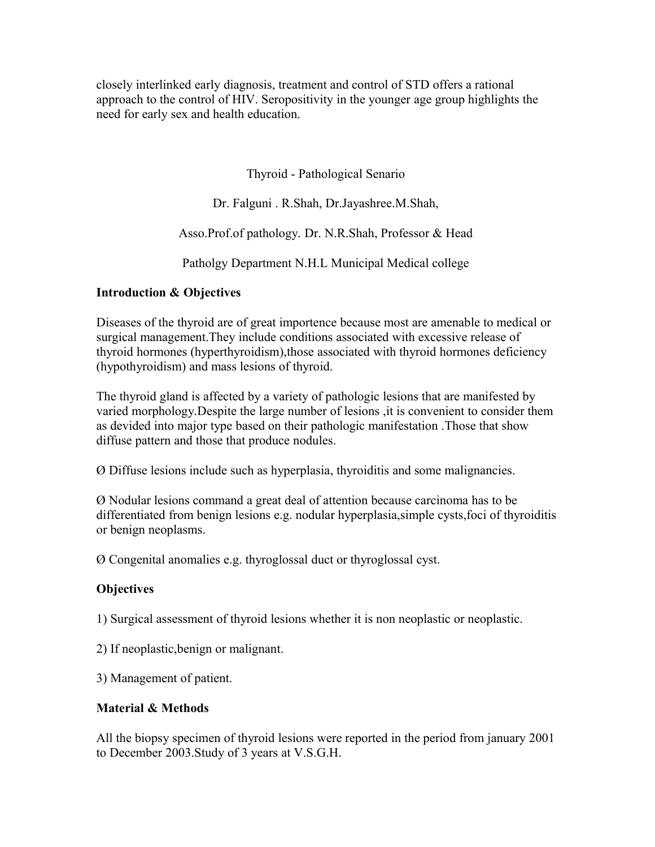closely interlinked early diagnosis, treatment and control of STD offers a rational approach to the control of HIV. Seropositivity in the younger age group highlights the need for early sex and health education.

Thyroid - Pathological Senario

Dr. Falguni . R.Shah, Dr.Jayashree.M.Shah,

Asso.Prof.of pathology. Dr. N.R.Shah, Professor & Head

Patholgy Department N.H.L Municipal Medical college

# **Introduction & Objectives**

Diseases of the thyroid are of great importence because most are amenable to medical or surgical management.They include conditions associated with excessive release of thyroid hormones (hyperthyroidism),those associated with thyroid hormones deficiency (hypothyroidism) and mass lesions of thyroid.

The thyroid gland is affected by a variety of pathologic lesions that are manifested by varied morphology.Despite the large number of lesions ,it is convenient to consider them as devided into major type based on their pathologic manifestation .Those that show diffuse pattern and those that produce nodules.

Ø Diffuse lesions include such as hyperplasia, thyroiditis and some malignancies.

Ø Nodular lesions command a great deal of attention because carcinoma has to be differentiated from benign lesions e.g. nodular hyperplasia,simple cysts,foci of thyroiditis or benign neoplasms.

Ø Congenital anomalies e.g. thyroglossal duct or thyroglossal cyst.

# **Objectives**

1) Surgical assessment of thyroid lesions whether it is non neoplastic or neoplastic.

2) If neoplastic,benign or malignant.

3) Management of patient.

# **Material & Methods**

All the biopsy specimen of thyroid lesions were reported in the period from january 2001 to December 2003.Study of 3 years at V.S.G.H.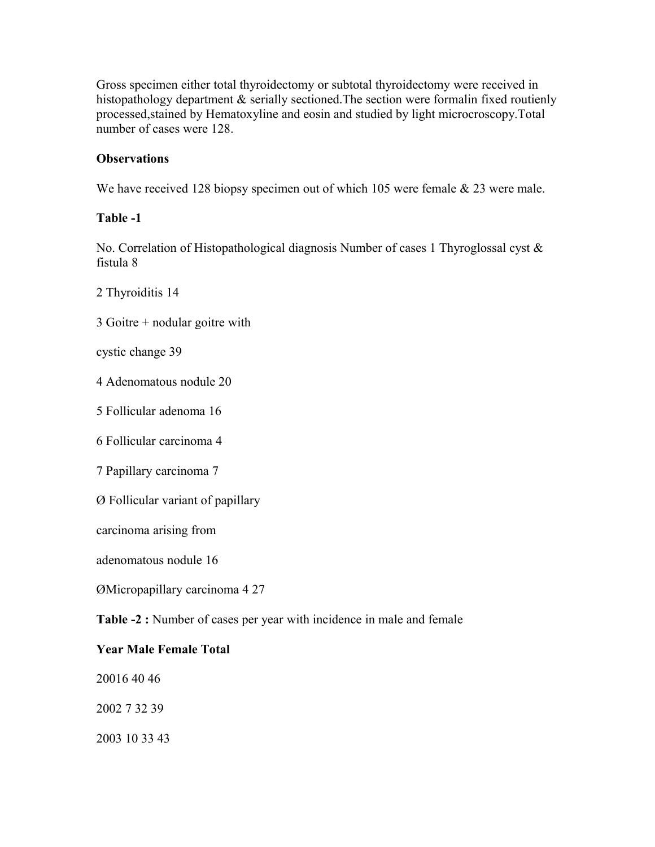Gross specimen either total thyroidectomy or subtotal thyroidectomy were received in histopathology department & serially sectioned. The section were formalin fixed routienly processed,stained by Hematoxyline and eosin and studied by light microcroscopy.Total number of cases were 128.

## **Observations**

We have received 128 biopsy specimen out of which 105 were female & 23 were male.

#### **Table -1**

No. Correlation of Histopathological diagnosis Number of cases 1 Thyroglossal cyst & fistula 8

2 Thyroiditis 14

3 Goitre + nodular goitre with

cystic change 39

4 Adenomatous nodule 20

5 Follicular adenoma 16

6 Follicular carcinoma 4

7 Papillary carcinoma 7

Ø Follicular variant of papillary

carcinoma arising from

adenomatous nodule 16

ØMicropapillary carcinoma 4 27

**Table -2 :** Number of cases per year with incidence in male and female

#### **Year Male Female Total**

20016 40 46

2002 7 32 39

2003 10 33 43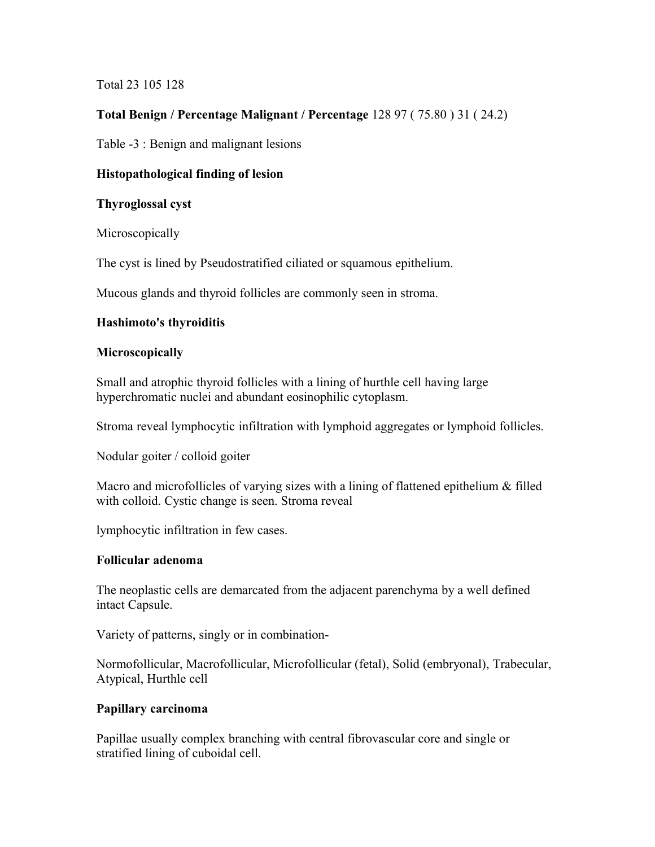# Total 23 105 128

# **Total Benign / Percentage Malignant / Percentage** 128 97 ( 75.80 ) 31 ( 24.2)

Table -3 : Benign and malignant lesions

## **Histopathological finding of lesion**

#### **Thyroglossal cyst**

**Microscopically** 

The cyst is lined by Pseudostratified ciliated or squamous epithelium.

Mucous glands and thyroid follicles are commonly seen in stroma.

#### **Hashimoto's thyroiditis**

#### **Microscopically**

Small and atrophic thyroid follicles with a lining of hurthle cell having large hyperchromatic nuclei and abundant eosinophilic cytoplasm.

Stroma reveal lymphocytic infiltration with lymphoid aggregates or lymphoid follicles.

Nodular goiter / colloid goiter

Macro and microfollicles of varying sizes with a lining of flattened epithelium & filled with colloid. Cystic change is seen. Stroma reveal

lymphocytic infiltration in few cases.

#### **Follicular adenoma**

The neoplastic cells are demarcated from the adjacent parenchyma by a well defined intact Capsule.

Variety of patterns, singly or in combination-

Normofollicular, Macrofollicular, Microfollicular (fetal), Solid (embryonal), Trabecular, Atypical, Hurthle cell

#### **Papillary carcinoma**

Papillae usually complex branching with central fibrovascular core and single or stratified lining of cuboidal cell.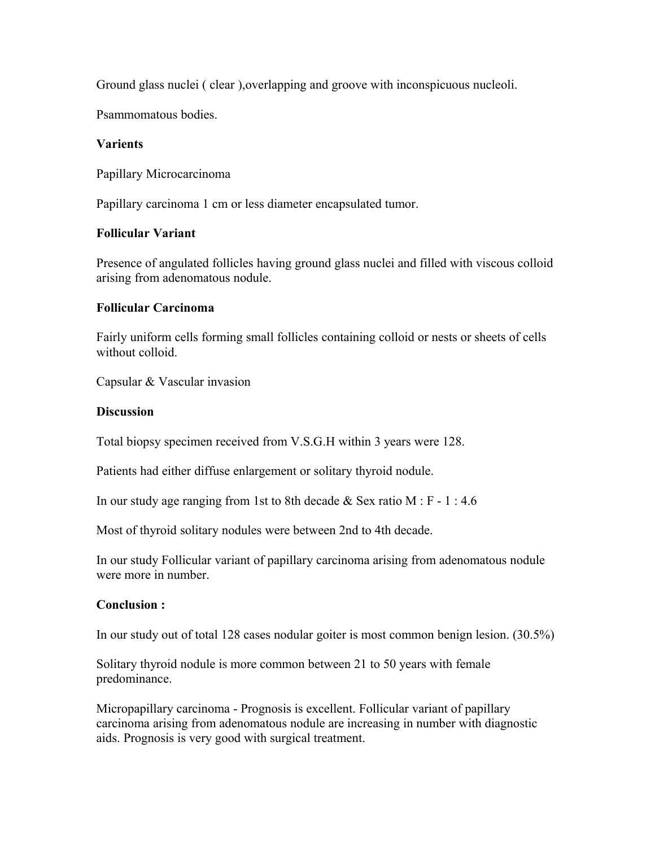Ground glass nuclei ( clear ),overlapping and groove with inconspicuous nucleoli.

Psammomatous bodies.

#### **Varients**

Papillary Microcarcinoma

Papillary carcinoma 1 cm or less diameter encapsulated tumor.

#### **Follicular Variant**

Presence of angulated follicles having ground glass nuclei and filled with viscous colloid arising from adenomatous nodule.

#### **Follicular Carcinoma**

Fairly uniform cells forming small follicles containing colloid or nests or sheets of cells without colloid.

Capsular & Vascular invasion

#### **Discussion**

Total biopsy specimen received from V.S.G.H within 3 years were 128.

Patients had either diffuse enlargement or solitary thyroid nodule.

In our study age ranging from 1st to 8th decade  $&$  Sex ratio M : F - 1 : 4.6

Most of thyroid solitary nodules were between 2nd to 4th decade.

In our study Follicular variant of papillary carcinoma arising from adenomatous nodule were more in number.

#### **Conclusion :**

In our study out of total 128 cases nodular goiter is most common benign lesion. (30.5%)

Solitary thyroid nodule is more common between 21 to 50 years with female predominance.

Micropapillary carcinoma - Prognosis is excellent. Follicular variant of papillary carcinoma arising from adenomatous nodule are increasing in number with diagnostic aids. Prognosis is very good with surgical treatment.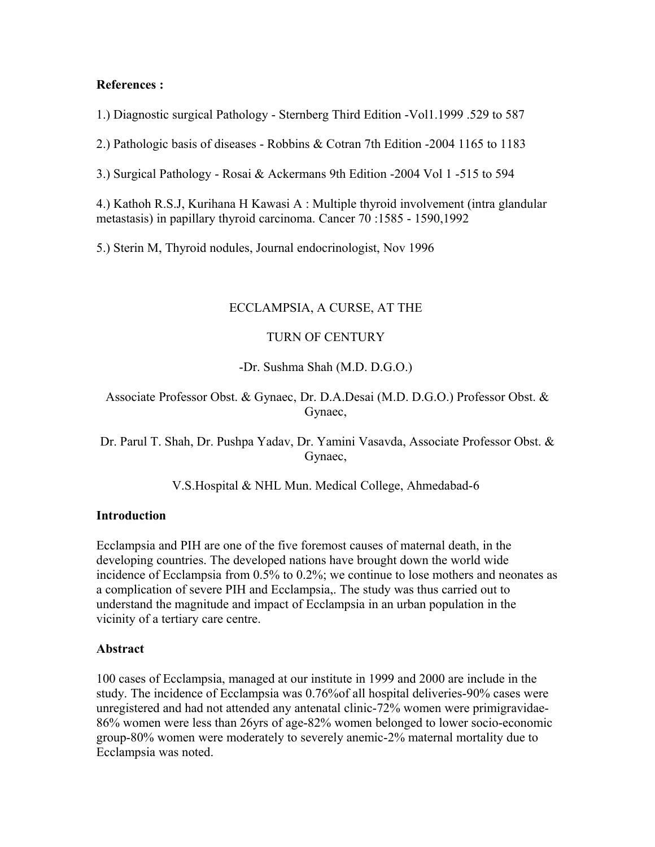#### **References :**

1.) Diagnostic surgical Pathology - Sternberg Third Edition -Vol1.1999 .529 to 587

2.) Pathologic basis of diseases - Robbins & Cotran 7th Edition -2004 1165 to 1183

3.) Surgical Pathology - Rosai & Ackermans 9th Edition -2004 Vol 1 -515 to 594

4.) Kathoh R.S.J, Kurihana H Kawasi A : Multiple thyroid involvement (intra glandular metastasis) in papillary thyroid carcinoma. Cancer 70 :1585 - 1590,1992

5.) Sterin M, Thyroid nodules, Journal endocrinologist, Nov 1996

#### ECCLAMPSIA, A CURSE, AT THE

#### TURN OF CENTURY

-Dr. Sushma Shah (M.D. D.G.O.)

Associate Professor Obst. & Gynaec, Dr. D.A.Desai (M.D. D.G.O.) Professor Obst. & Gynaec,

Dr. Parul T. Shah, Dr. Pushpa Yadav, Dr. Yamini Vasavda, Associate Professor Obst. & Gynaec,

V.S.Hospital & NHL Mun. Medical College, Ahmedabad-6

#### **Introduction**

Ecclampsia and PIH are one of the five foremost causes of maternal death, in the developing countries. The developed nations have brought down the world wide incidence of Ecclampsia from 0.5% to 0.2%; we continue to lose mothers and neonates as a complication of severe PIH and Ecclampsia,. The study was thus carried out to understand the magnitude and impact of Ecclampsia in an urban population in the vicinity of a tertiary care centre.

#### **Abstract**

100 cases of Ecclampsia, managed at our institute in 1999 and 2000 are include in the study. The incidence of Ecclampsia was 0.76%of all hospital deliveries-90% cases were unregistered and had not attended any antenatal clinic-72% women were primigravidae-86% women were less than 26yrs of age-82% women belonged to lower socio-economic group-80% women were moderately to severely anemic-2% maternal mortality due to Ecclampsia was noted.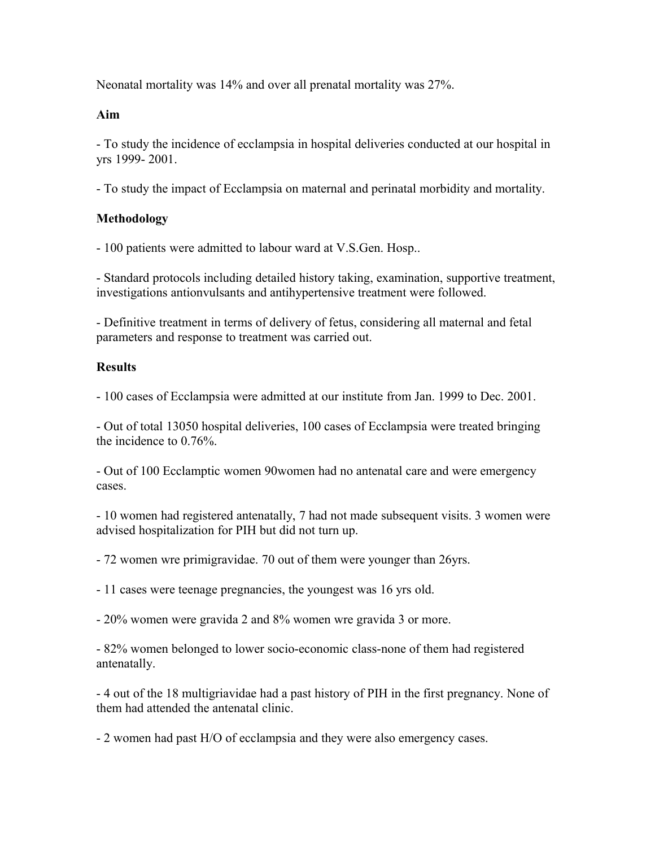Neonatal mortality was 14% and over all prenatal mortality was 27%.

#### **Aim**

- To study the incidence of ecclampsia in hospital deliveries conducted at our hospital in yrs 1999- 2001.

- To study the impact of Ecclampsia on maternal and perinatal morbidity and mortality.

# **Methodology**

- 100 patients were admitted to labour ward at V.S.Gen. Hosp..

- Standard protocols including detailed history taking, examination, supportive treatment, investigations antionvulsants and antihypertensive treatment were followed.

- Definitive treatment in terms of delivery of fetus, considering all maternal and fetal parameters and response to treatment was carried out.

#### **Results**

- 100 cases of Ecclampsia were admitted at our institute from Jan. 1999 to Dec. 2001.

- Out of total 13050 hospital deliveries, 100 cases of Ecclampsia were treated bringing the incidence to 0.76%.

- Out of 100 Ecclamptic women 90women had no antenatal care and were emergency cases.

- 10 women had registered antenatally, 7 had not made subsequent visits. 3 women were advised hospitalization for PIH but did not turn up.

- 72 women wre primigravidae. 70 out of them were younger than 26yrs.

- 11 cases were teenage pregnancies, the youngest was 16 yrs old.

- 20% women were gravida 2 and 8% women wre gravida 3 or more.

- 82% women belonged to lower socio-economic class-none of them had registered antenatally.

- 4 out of the 18 multigriavidae had a past history of PIH in the first pregnancy. None of them had attended the antenatal clinic.

- 2 women had past H/O of ecclampsia and they were also emergency cases.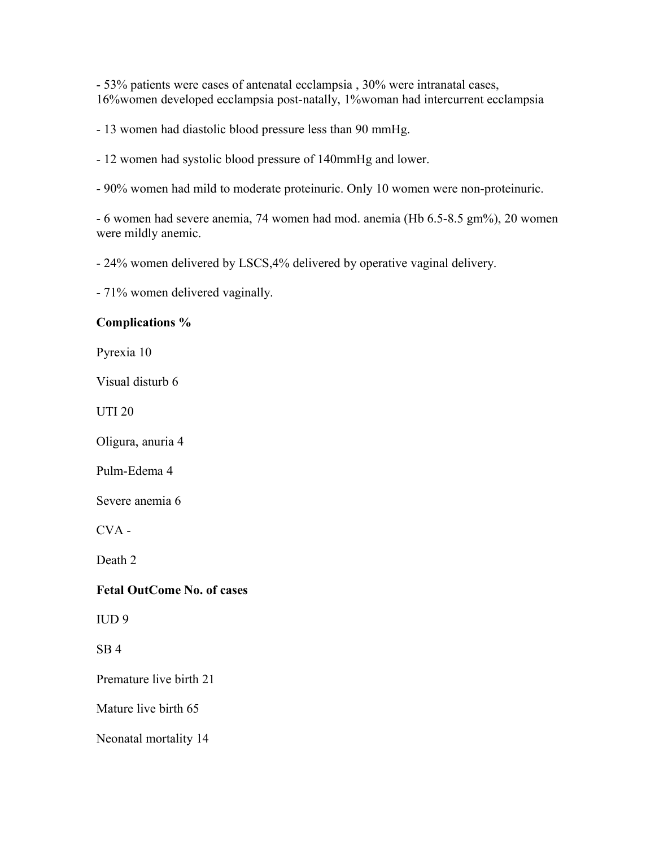- 53% patients were cases of antenatal ecclampsia , 30% were intranatal cases, 16%women developed ecclampsia post-natally, 1%woman had intercurrent ecclampsia

- 13 women had diastolic blood pressure less than 90 mmHg.

- 12 women had systolic blood pressure of 140mmHg and lower.

- 90% women had mild to moderate proteinuric. Only 10 women were non-proteinuric.

- 6 women had severe anemia, 74 women had mod. anemia (Hb 6.5-8.5 gm%), 20 women were mildly anemic.

- 24% women delivered by LSCS,4% delivered by operative vaginal delivery.

- 71% women delivered vaginally.

#### **Complications %**

Pyrexia 10

Visual disturb 6

UTI 20

Oligura, anuria 4

Pulm-Edema 4

Severe anemia 6

CVA -

Death 2

#### **Fetal OutCome No. of cases**

IUD 9

SB 4

Premature live birth 21

Mature live birth 65

Neonatal mortality 14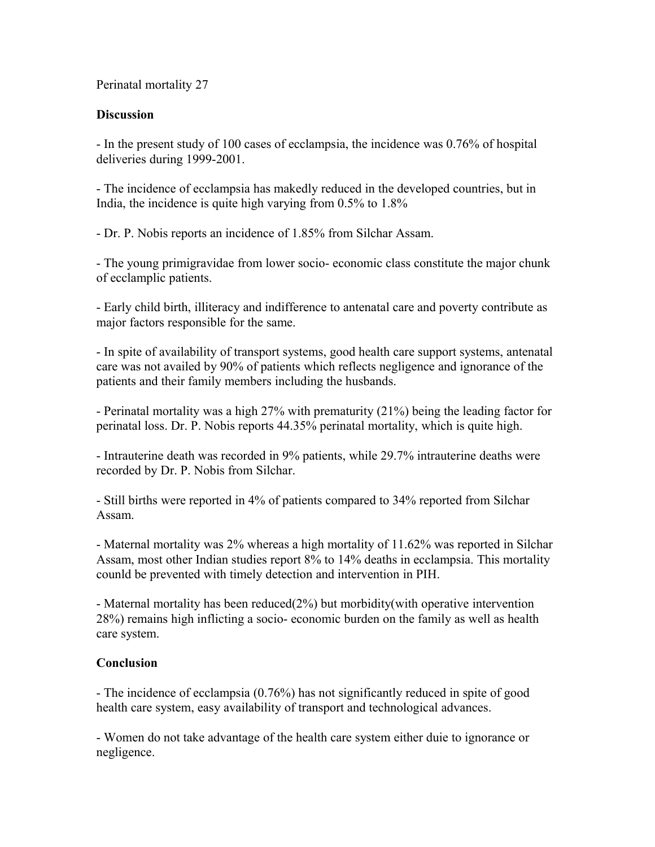Perinatal mortality 27

## **Discussion**

- In the present study of 100 cases of ecclampsia, the incidence was 0.76% of hospital deliveries during 1999-2001.

- The incidence of ecclampsia has makedly reduced in the developed countries, but in India, the incidence is quite high varying from 0.5% to 1.8%

- Dr. P. Nobis reports an incidence of 1.85% from Silchar Assam.

- The young primigravidae from lower socio- economic class constitute the major chunk of ecclamplic patients.

- Early child birth, illiteracy and indifference to antenatal care and poverty contribute as major factors responsible for the same.

- In spite of availability of transport systems, good health care support systems, antenatal care was not availed by 90% of patients which reflects negligence and ignorance of the patients and their family members including the husbands.

- Perinatal mortality was a high 27% with prematurity (21%) being the leading factor for perinatal loss. Dr. P. Nobis reports 44.35% perinatal mortality, which is quite high.

- Intrauterine death was recorded in 9% patients, while 29.7% intrauterine deaths were recorded by Dr. P. Nobis from Silchar.

- Still births were reported in 4% of patients compared to 34% reported from Silchar Assam.

- Maternal mortality was 2% whereas a high mortality of 11.62% was reported in Silchar Assam, most other Indian studies report 8% to 14% deaths in ecclampsia. This mortality counld be prevented with timely detection and intervention in PIH.

- Maternal mortality has been reduced(2%) but morbidity(with operative intervention 28%) remains high inflicting a socio- economic burden on the family as well as health care system.

# **Conclusion**

- The incidence of ecclampsia (0.76%) has not significantly reduced in spite of good health care system, easy availability of transport and technological advances.

- Women do not take advantage of the health care system either duie to ignorance or negligence.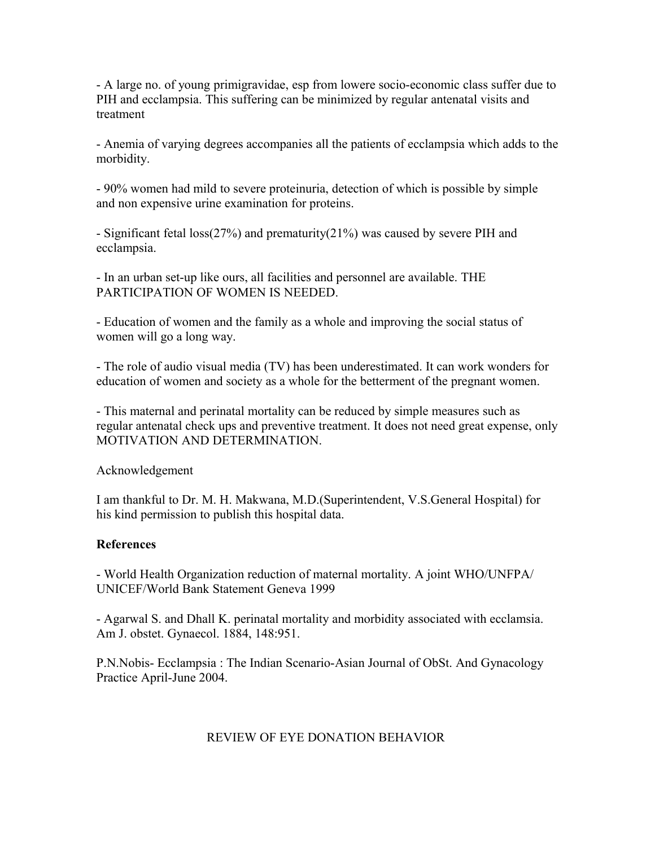- A large no. of young primigravidae, esp from lowere socio-economic class suffer due to PIH and ecclampsia. This suffering can be minimized by regular antenatal visits and treatment

- Anemia of varying degrees accompanies all the patients of ecclampsia which adds to the morbidity.

- 90% women had mild to severe proteinuria, detection of which is possible by simple and non expensive urine examination for proteins.

- Significant fetal loss(27%) and prematurity(21%) was caused by severe PIH and ecclampsia.

- In an urban set-up like ours, all facilities and personnel are available. THE PARTICIPATION OF WOMEN IS NEEDED.

- Education of women and the family as a whole and improving the social status of women will go a long way.

- The role of audio visual media (TV) has been underestimated. It can work wonders for education of women and society as a whole for the betterment of the pregnant women.

- This maternal and perinatal mortality can be reduced by simple measures such as regular antenatal check ups and preventive treatment. It does not need great expense, only MOTIVATION AND DETERMINATION.

Acknowledgement

I am thankful to Dr. M. H. Makwana, M.D.(Superintendent, V.S.General Hospital) for his kind permission to publish this hospital data.

# **References**

- World Health Organization reduction of maternal mortality. A joint WHO/UNFPA/ UNICEF/World Bank Statement Geneva 1999

- Agarwal S. and Dhall K. perinatal mortality and morbidity associated with ecclamsia. Am J. obstet. Gynaecol. 1884, 148:951.

P.N.Nobis- Ecclampsia : The Indian Scenario-Asian Journal of ObSt. And Gynacology Practice April-June 2004.

# REVIEW OF EYE DONATION BEHAVIOR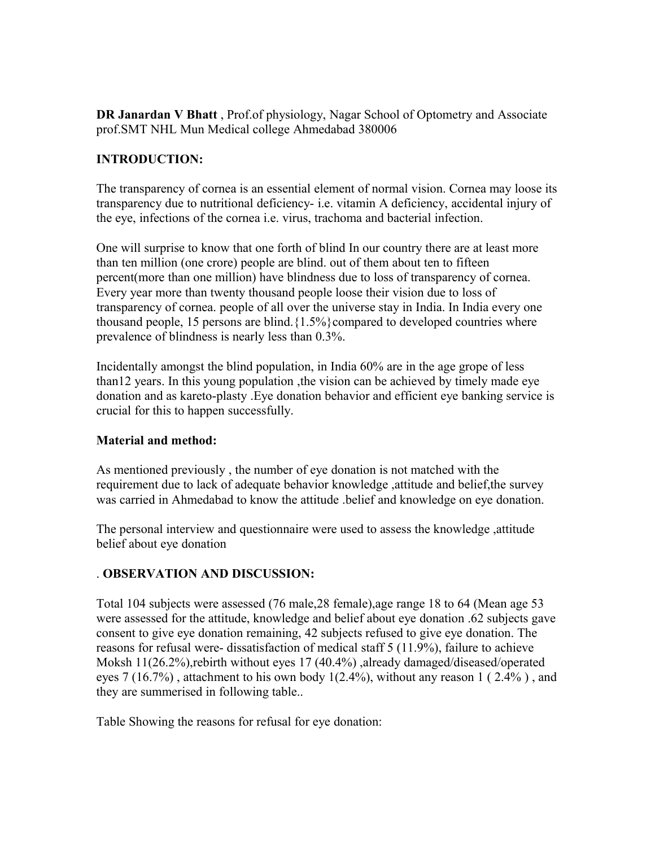**DR Janardan V Bhatt** , Prof.of physiology, Nagar School of Optometry and Associate prof.SMT NHL Mun Medical college Ahmedabad 380006

# **INTRODUCTION:**

The transparency of cornea is an essential element of normal vision. Cornea may loose its transparency due to nutritional deficiency- i.e. vitamin A deficiency, accidental injury of the eye, infections of the cornea i.e. virus, trachoma and bacterial infection.

One will surprise to know that one forth of blind In our country there are at least more than ten million (one crore) people are blind. out of them about ten to fifteen percent(more than one million) have blindness due to loss of transparency of cornea. Every year more than twenty thousand people loose their vision due to loss of transparency of cornea. people of all over the universe stay in India. In India every one thousand people, 15 persons are blind. ${1.5\%}$  compared to developed countries where prevalence of blindness is nearly less than 0.3%.

Incidentally amongst the blind population, in India 60% are in the age grope of less than12 years. In this young population ,the vision can be achieved by timely made eye donation and as kareto-plasty .Eye donation behavior and efficient eye banking service is crucial for this to happen successfully.

# **Material and method:**

As mentioned previously , the number of eye donation is not matched with the requirement due to lack of adequate behavior knowledge ,attitude and belief,the survey was carried in Ahmedabad to know the attitude .belief and knowledge on eye donation.

The personal interview and questionnaire were used to assess the knowledge ,attitude belief about eye donation

# . **OBSERVATION AND DISCUSSION:**

Total 104 subjects were assessed (76 male,28 female),age range 18 to 64 (Mean age 53 were assessed for the attitude, knowledge and belief about eye donation .62 subjects gave consent to give eye donation remaining, 42 subjects refused to give eye donation. The reasons for refusal were- dissatisfaction of medical staff 5 (11.9%), failure to achieve Moksh 11(26.2%),rebirth without eyes 17 (40.4%) ,already damaged/diseased/operated eyes  $7(16.7%)$ , attachment to his own body  $1(2.4%)$ , without any reason  $1(2.4%)$ , and they are summerised in following table..

Table Showing the reasons for refusal for eye donation: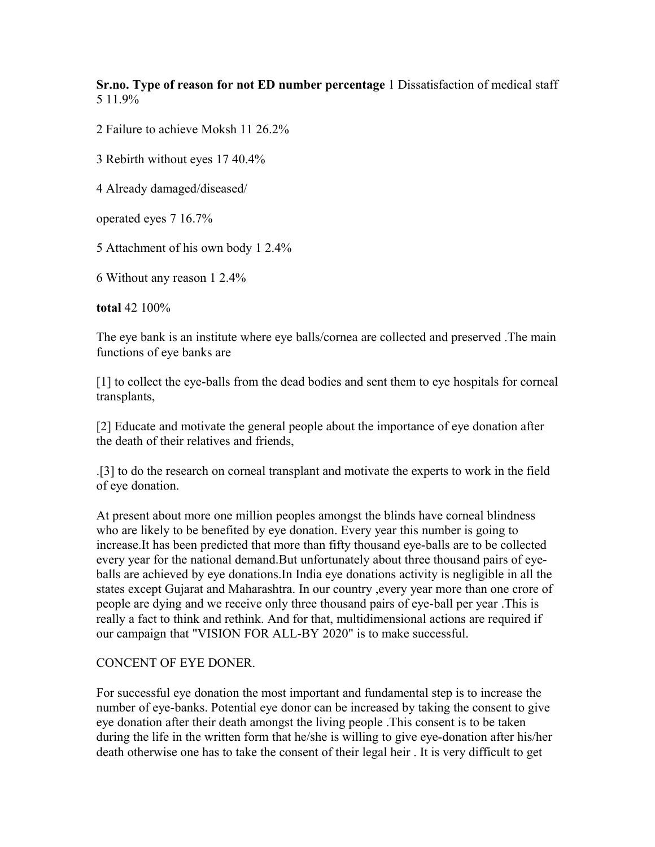**Sr.no. Type of reason for not ED number percentage** 1 Dissatisfaction of medical staff 5 11.9%

2 Failure to achieve Moksh 11 26.2%

3 Rebirth without eyes 17 40.4%

4 Already damaged/diseased/

operated eyes 7 16.7%

5 Attachment of his own body 1 2.4%

6 Without any reason 1 2.4%

**total** 42 100%

The eye bank is an institute where eye balls/cornea are collected and preserved .The main functions of eye banks are

[1] to collect the eye-balls from the dead bodies and sent them to eye hospitals for corneal transplants,

[2] Educate and motivate the general people about the importance of eye donation after the death of their relatives and friends,

.[3] to do the research on corneal transplant and motivate the experts to work in the field of eye donation.

At present about more one million peoples amongst the blinds have corneal blindness who are likely to be benefited by eye donation. Every year this number is going to increase.It has been predicted that more than fifty thousand eye-balls are to be collected every year for the national demand.But unfortunately about three thousand pairs of eyeballs are achieved by eye donations.In India eye donations activity is negligible in all the states except Gujarat and Maharashtra. In our country ,every year more than one crore of people are dying and we receive only three thousand pairs of eye-ball per year .This is really a fact to think and rethink. And for that, multidimensional actions are required if our campaign that "VISION FOR ALL-BY 2020" is to make successful.

#### CONCENT OF EYE DONER.

For successful eye donation the most important and fundamental step is to increase the number of eye-banks. Potential eye donor can be increased by taking the consent to give eye donation after their death amongst the living people .This consent is to be taken during the life in the written form that he/she is willing to give eye-donation after his/her death otherwise one has to take the consent of their legal heir . It is very difficult to get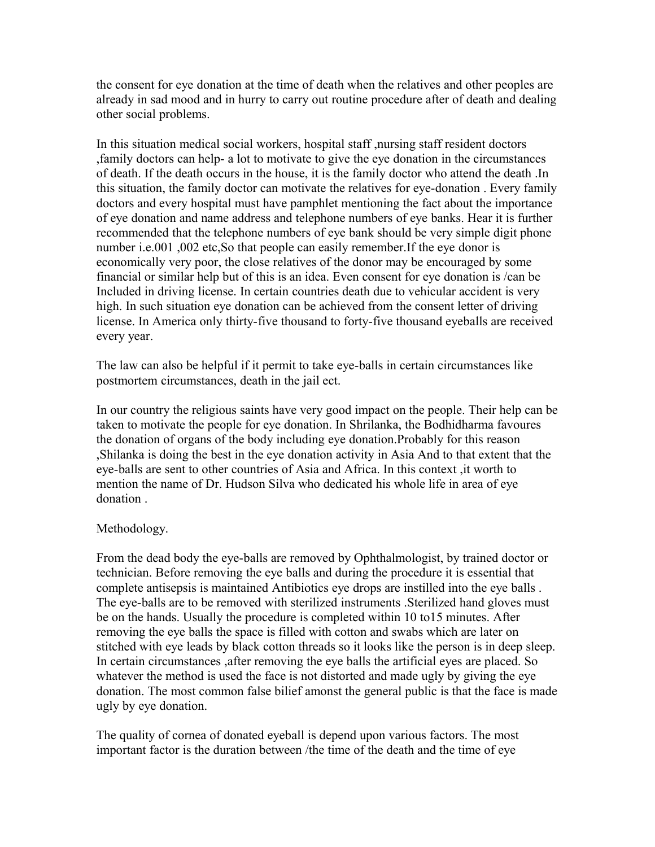the consent for eye donation at the time of death when the relatives and other peoples are already in sad mood and in hurry to carry out routine procedure after of death and dealing other social problems.

In this situation medical social workers, hospital staff ,nursing staff resident doctors ,family doctors can help- a lot to motivate to give the eye donation in the circumstances of death. If the death occurs in the house, it is the family doctor who attend the death .In this situation, the family doctor can motivate the relatives for eye-donation . Every family doctors and every hospital must have pamphlet mentioning the fact about the importance of eye donation and name address and telephone numbers of eye banks. Hear it is further recommended that the telephone numbers of eye bank should be very simple digit phone number i.e.001 ,002 etc,So that people can easily remember.If the eye donor is economically very poor, the close relatives of the donor may be encouraged by some financial or similar help but of this is an idea. Even consent for eye donation is /can be Included in driving license. In certain countries death due to vehicular accident is very high. In such situation eye donation can be achieved from the consent letter of driving license. In America only thirty-five thousand to forty-five thousand eyeballs are received every year.

The law can also be helpful if it permit to take eye-balls in certain circumstances like postmortem circumstances, death in the jail ect.

In our country the religious saints have very good impact on the people. Their help can be taken to motivate the people for eye donation. In Shrilanka, the Bodhidharma favoures the donation of organs of the body including eye donation.Probably for this reason ,Shilanka is doing the best in the eye donation activity in Asia And to that extent that the eye-balls are sent to other countries of Asia and Africa. In this context ,it worth to mention the name of Dr. Hudson Silva who dedicated his whole life in area of eye donation .

#### Methodology.

From the dead body the eye-balls are removed by Ophthalmologist, by trained doctor or technician. Before removing the eye balls and during the procedure it is essential that complete antisepsis is maintained Antibiotics eye drops are instilled into the eye balls . The eye-balls are to be removed with sterilized instruments .Sterilized hand gloves must be on the hands. Usually the procedure is completed within 10 to15 minutes. After removing the eye balls the space is filled with cotton and swabs which are later on stitched with eye leads by black cotton threads so it looks like the person is in deep sleep. In certain circumstances ,after removing the eye balls the artificial eyes are placed. So whatever the method is used the face is not distorted and made ugly by giving the eye donation. The most common false bilief amonst the general public is that the face is made ugly by eye donation.

The quality of cornea of donated eyeball is depend upon various factors. The most important factor is the duration between /the time of the death and the time of eye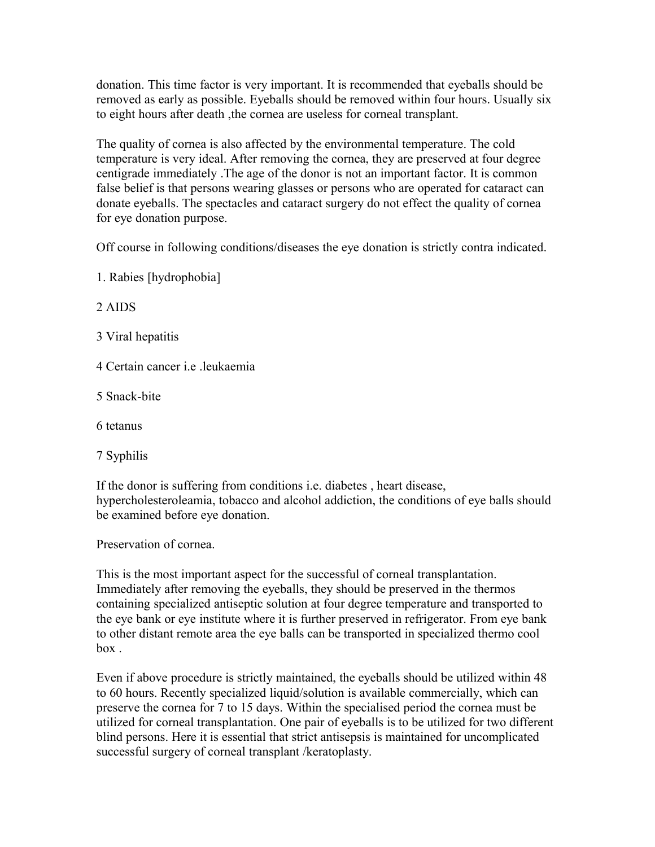donation. This time factor is very important. It is recommended that eyeballs should be removed as early as possible. Eyeballs should be removed within four hours. Usually six to eight hours after death ,the cornea are useless for corneal transplant.

The quality of cornea is also affected by the environmental temperature. The cold temperature is very ideal. After removing the cornea, they are preserved at four degree centigrade immediately .The age of the donor is not an important factor. It is common false belief is that persons wearing glasses or persons who are operated for cataract can donate eyeballs. The spectacles and cataract surgery do not effect the quality of cornea for eye donation purpose.

Off course in following conditions/diseases the eye donation is strictly contra indicated.

1. Rabies [hydrophobia]

2 AIDS

- 3 Viral hepatitis
- 4 Certain cancer i.e .leukaemia
- 5 Snack-bite
- 6 tetanus
- 7 Syphilis

If the donor is suffering from conditions i.e. diabetes , heart disease, hypercholesteroleamia, tobacco and alcohol addiction, the conditions of eye balls should be examined before eye donation.

Preservation of cornea.

This is the most important aspect for the successful of corneal transplantation. Immediately after removing the eyeballs, they should be preserved in the thermos containing specialized antiseptic solution at four degree temperature and transported to the eye bank or eye institute where it is further preserved in refrigerator. From eye bank to other distant remote area the eye balls can be transported in specialized thermo cool box .

Even if above procedure is strictly maintained, the eyeballs should be utilized within 48 to 60 hours. Recently specialized liquid/solution is available commercially, which can preserve the cornea for 7 to 15 days. Within the specialised period the cornea must be utilized for corneal transplantation. One pair of eyeballs is to be utilized for two different blind persons. Here it is essential that strict antisepsis is maintained for uncomplicated successful surgery of corneal transplant /keratoplasty.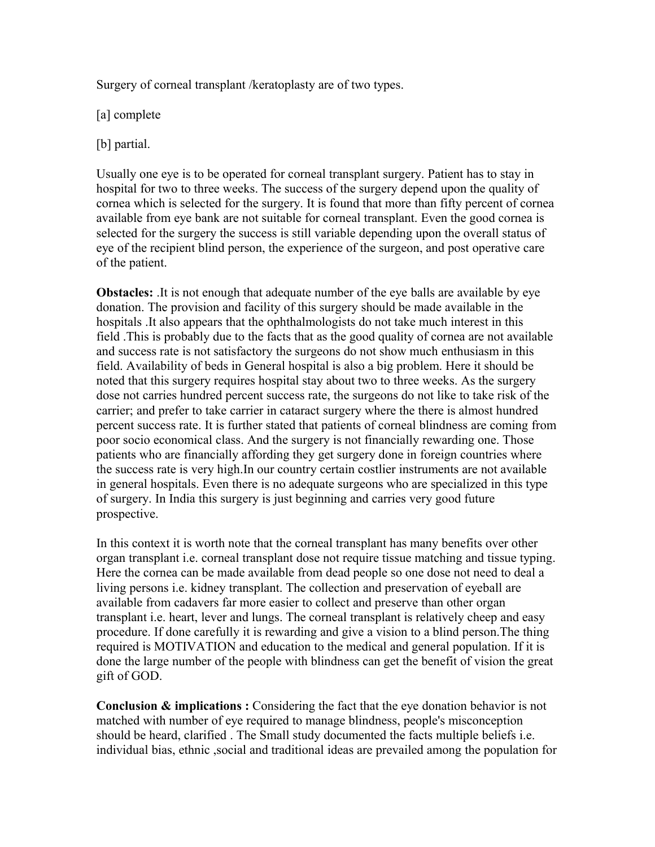Surgery of corneal transplant /keratoplasty are of two types.

[a] complete

[b] partial.

Usually one eye is to be operated for corneal transplant surgery. Patient has to stay in hospital for two to three weeks. The success of the surgery depend upon the quality of cornea which is selected for the surgery. It is found that more than fifty percent of cornea available from eye bank are not suitable for corneal transplant. Even the good cornea is selected for the surgery the success is still variable depending upon the overall status of eye of the recipient blind person, the experience of the surgeon, and post operative care of the patient.

**Obstacles:** It is not enough that adequate number of the eye balls are available by eye donation. The provision and facility of this surgery should be made available in the hospitals .It also appears that the ophthalmologists do not take much interest in this field .This is probably due to the facts that as the good quality of cornea are not available and success rate is not satisfactory the surgeons do not show much enthusiasm in this field. Availability of beds in General hospital is also a big problem. Here it should be noted that this surgery requires hospital stay about two to three weeks. As the surgery dose not carries hundred percent success rate, the surgeons do not like to take risk of the carrier; and prefer to take carrier in cataract surgery where the there is almost hundred percent success rate. It is further stated that patients of corneal blindness are coming from poor socio economical class. And the surgery is not financially rewarding one. Those patients who are financially affording they get surgery done in foreign countries where the success rate is very high.In our country certain costlier instruments are not available in general hospitals. Even there is no adequate surgeons who are specialized in this type of surgery. In India this surgery is just beginning and carries very good future prospective.

In this context it is worth note that the corneal transplant has many benefits over other organ transplant i.e. corneal transplant dose not require tissue matching and tissue typing. Here the cornea can be made available from dead people so one dose not need to deal a living persons i.e. kidney transplant. The collection and preservation of eyeball are available from cadavers far more easier to collect and preserve than other organ transplant i.e. heart, lever and lungs. The corneal transplant is relatively cheep and easy procedure. If done carefully it is rewarding and give a vision to a blind person.The thing required is MOTIVATION and education to the medical and general population. If it is done the large number of the people with blindness can get the benefit of vision the great gift of GOD.

**Conclusion & implications :** Considering the fact that the eye donation behavior is not matched with number of eye required to manage blindness, people's misconception should be heard, clarified . The Small study documented the facts multiple beliefs i.e. individual bias, ethnic ,social and traditional ideas are prevailed among the population for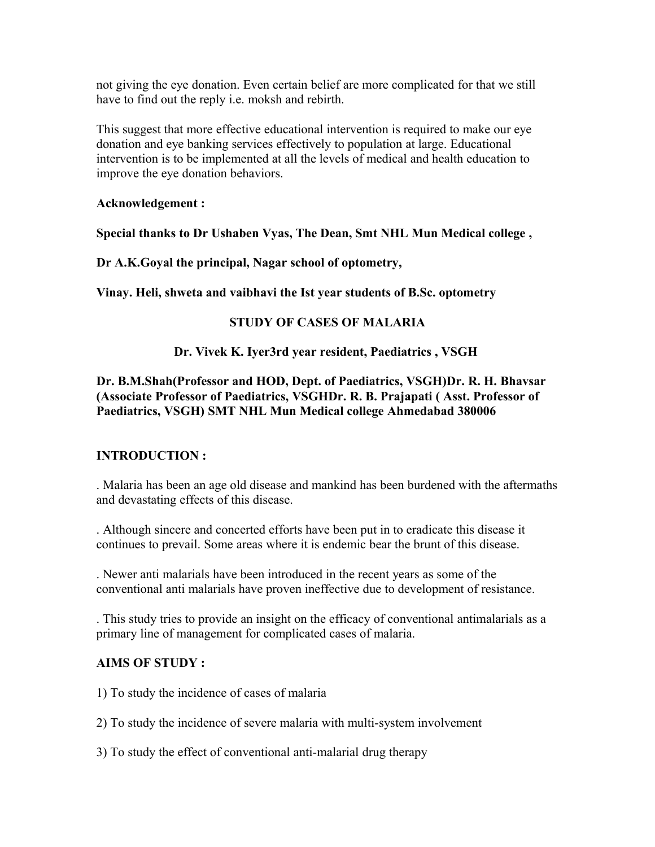not giving the eye donation. Even certain belief are more complicated for that we still have to find out the reply i.e. moksh and rebirth.

This suggest that more effective educational intervention is required to make our eye donation and eye banking services effectively to population at large. Educational intervention is to be implemented at all the levels of medical and health education to improve the eye donation behaviors.

#### **Acknowledgement :**

**Special thanks to Dr Ushaben Vyas, The Dean, Smt NHL Mun Medical college ,** 

**Dr A.K.Goyal the principal, Nagar school of optometry,** 

**Vinay. Heli, shweta and vaibhavi the Ist year students of B.Sc. optometry** 

# **STUDY OF CASES OF MALARIA**

#### **Dr. Vivek K. Iyer3rd year resident, Paediatrics , VSGH**

# **Dr. B.M.Shah(Professor and HOD, Dept. of Paediatrics, VSGH)Dr. R. H. Bhavsar (Associate Professor of Paediatrics, VSGHDr. R. B. Prajapati ( Asst. Professor of Paediatrics, VSGH) SMT NHL Mun Medical college Ahmedabad 380006**

# **INTRODUCTION :**

. Malaria has been an age old disease and mankind has been burdened with the aftermaths and devastating effects of this disease.

. Although sincere and concerted efforts have been put in to eradicate this disease it continues to prevail. Some areas where it is endemic bear the brunt of this disease.

. Newer anti malarials have been introduced in the recent years as some of the conventional anti malarials have proven ineffective due to development of resistance.

. This study tries to provide an insight on the efficacy of conventional antimalarials as a primary line of management for complicated cases of malaria.

# **AIMS OF STUDY :**

1) To study the incidence of cases of malaria

2) To study the incidence of severe malaria with multi-system involvement

3) To study the effect of conventional anti-malarial drug therapy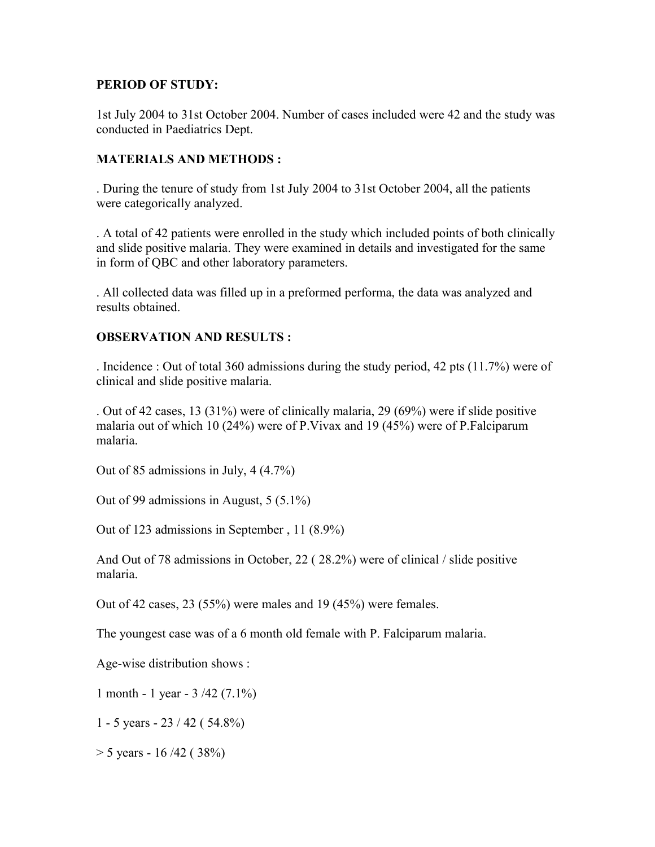#### **PERIOD OF STUDY:**

1st July 2004 to 31st October 2004. Number of cases included were 42 and the study was conducted in Paediatrics Dept.

#### **MATERIALS AND METHODS :**

. During the tenure of study from 1st July 2004 to 31st October 2004, all the patients were categorically analyzed.

. A total of 42 patients were enrolled in the study which included points of both clinically and slide positive malaria. They were examined in details and investigated for the same in form of QBC and other laboratory parameters.

. All collected data was filled up in a preformed performa, the data was analyzed and results obtained.

#### **OBSERVATION AND RESULTS :**

. Incidence : Out of total 360 admissions during the study period, 42 pts (11.7%) were of clinical and slide positive malaria.

. Out of 42 cases, 13 (31%) were of clinically malaria, 29 (69%) were if slide positive malaria out of which 10 (24%) were of P.Vivax and 19 (45%) were of P.Falciparum malaria.

Out of 85 admissions in July, 4 (4.7%)

Out of 99 admissions in August, 5 (5.1%)

Out of 123 admissions in September , 11 (8.9%)

And Out of 78 admissions in October, 22 ( 28.2%) were of clinical / slide positive malaria.

Out of 42 cases, 23 (55%) were males and 19 (45%) were females.

The youngest case was of a 6 month old female with P. Falciparum malaria.

Age-wise distribution shows :

1 month - 1 year - 3 /42 (7.1%)

1 - 5 years - 23 / 42 ( 54.8%)

 $>$  5 years - 16/42 (38%)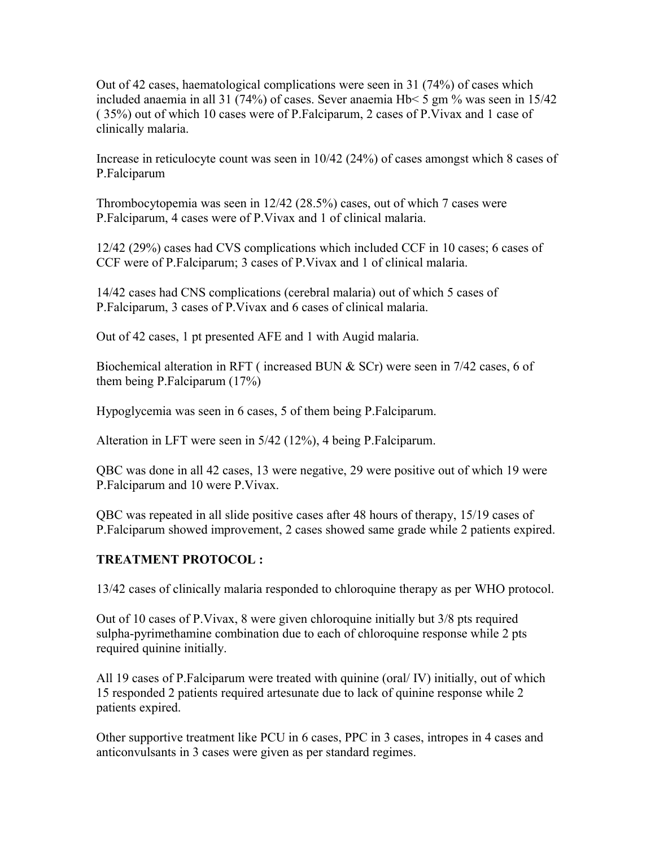Out of 42 cases, haematological complications were seen in 31 (74%) of cases which included anaemia in all 31 (74%) of cases. Sever anaemia Hb< 5 gm % was seen in 15/42 ( 35%) out of which 10 cases were of P.Falciparum, 2 cases of P.Vivax and 1 case of clinically malaria.

Increase in reticulocyte count was seen in 10/42 (24%) of cases amongst which 8 cases of P.Falciparum

Thrombocytopemia was seen in 12/42 (28.5%) cases, out of which 7 cases were P.Falciparum, 4 cases were of P.Vivax and 1 of clinical malaria.

12/42 (29%) cases had CVS complications which included CCF in 10 cases; 6 cases of CCF were of P.Falciparum; 3 cases of P.Vivax and 1 of clinical malaria.

14/42 cases had CNS complications (cerebral malaria) out of which 5 cases of P.Falciparum, 3 cases of P.Vivax and 6 cases of clinical malaria.

Out of 42 cases, 1 pt presented AFE and 1 with Augid malaria.

Biochemical alteration in RFT (increased BUN  $&$  SCr) were seen in 7/42 cases, 6 of them being P.Falciparum (17%)

Hypoglycemia was seen in 6 cases, 5 of them being P.Falciparum.

Alteration in LFT were seen in 5/42 (12%), 4 being P.Falciparum.

QBC was done in all 42 cases, 13 were negative, 29 were positive out of which 19 were P.Falciparum and 10 were P.Vivax.

QBC was repeated in all slide positive cases after 48 hours of therapy, 15/19 cases of P.Falciparum showed improvement, 2 cases showed same grade while 2 patients expired.

# **TREATMENT PROTOCOL :**

13/42 cases of clinically malaria responded to chloroquine therapy as per WHO protocol.

Out of 10 cases of P.Vivax, 8 were given chloroquine initially but 3/8 pts required sulpha-pyrimethamine combination due to each of chloroquine response while 2 pts required quinine initially.

All 19 cases of P.Falciparum were treated with quinine (oral/ IV) initially, out of which 15 responded 2 patients required artesunate due to lack of quinine response while 2 patients expired.

Other supportive treatment like PCU in 6 cases, PPC in 3 cases, intropes in 4 cases and anticonvulsants in 3 cases were given as per standard regimes.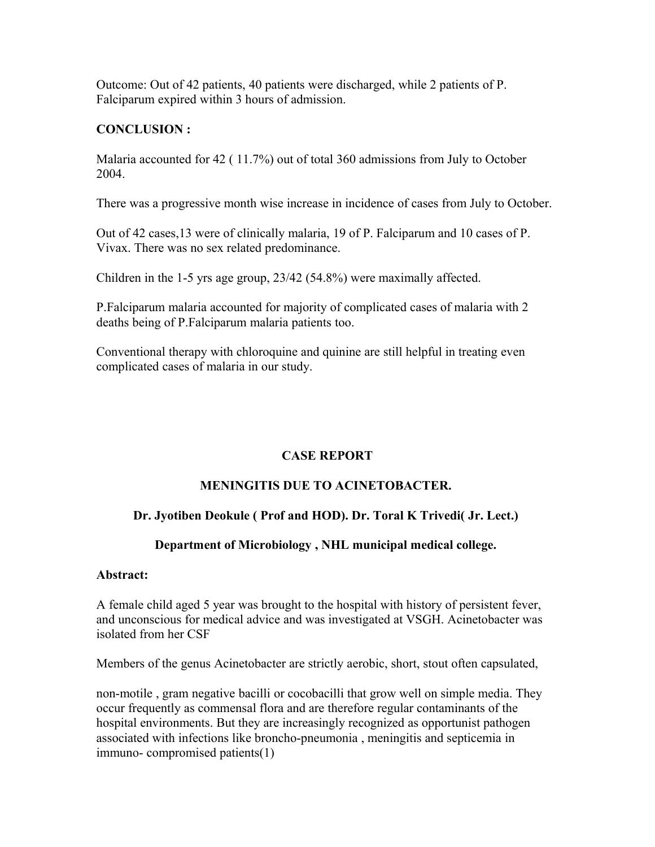Outcome: Out of 42 patients, 40 patients were discharged, while 2 patients of P. Falciparum expired within 3 hours of admission.

# **CONCLUSION :**

Malaria accounted for 42 ( 11.7%) out of total 360 admissions from July to October 2004.

There was a progressive month wise increase in incidence of cases from July to October.

Out of 42 cases,13 were of clinically malaria, 19 of P. Falciparum and 10 cases of P. Vivax. There was no sex related predominance.

Children in the 1-5 yrs age group, 23/42 (54.8%) were maximally affected.

P.Falciparum malaria accounted for majority of complicated cases of malaria with 2 deaths being of P.Falciparum malaria patients too.

Conventional therapy with chloroquine and quinine are still helpful in treating even complicated cases of malaria in our study.

# **CASE REPORT**

# **MENINGITIS DUE TO ACINETOBACTER.**

# **Dr. Jyotiben Deokule ( Prof and HOD). Dr. Toral K Trivedi( Jr. Lect.)**

# **Department of Microbiology , NHL municipal medical college.**

#### **Abstract:**

A female child aged 5 year was brought to the hospital with history of persistent fever, and unconscious for medical advice and was investigated at VSGH. Acinetobacter was isolated from her CSF

Members of the genus Acinetobacter are strictly aerobic, short, stout often capsulated,

non-motile , gram negative bacilli or cocobacilli that grow well on simple media. They occur frequently as commensal flora and are therefore regular contaminants of the hospital environments. But they are increasingly recognized as opportunist pathogen associated with infections like broncho-pneumonia , meningitis and septicemia in immuno- compromised patients(1)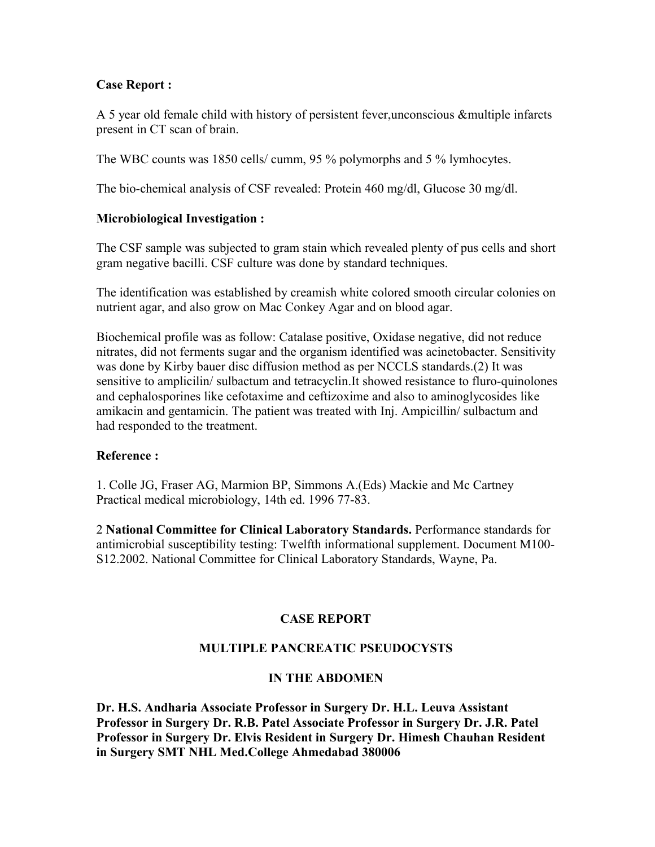# **Case Report :**

A 5 year old female child with history of persistent fever,unconscious &multiple infarcts present in CT scan of brain.

The WBC counts was 1850 cells/ cumm, 95 % polymorphs and 5 % lymhocytes.

The bio-chemical analysis of CSF revealed: Protein 460 mg/dl, Glucose 30 mg/dl.

# **Microbiological Investigation :**

The CSF sample was subjected to gram stain which revealed plenty of pus cells and short gram negative bacilli. CSF culture was done by standard techniques.

The identification was established by creamish white colored smooth circular colonies on nutrient agar, and also grow on Mac Conkey Agar and on blood agar.

Biochemical profile was as follow: Catalase positive, Oxidase negative, did not reduce nitrates, did not ferments sugar and the organism identified was acinetobacter. Sensitivity was done by Kirby bauer disc diffusion method as per NCCLS standards.(2) It was sensitive to amplicilin/ sulbactum and tetracyclin.It showed resistance to fluro-quinolones and cephalosporines like cefotaxime and ceftizoxime and also to aminoglycosides like amikacin and gentamicin. The patient was treated with Inj. Ampicillin/ sulbactum and had responded to the treatment.

# **Reference :**

1. Colle JG, Fraser AG, Marmion BP, Simmons A.(Eds) Mackie and Mc Cartney Practical medical microbiology, 14th ed. 1996 77-83.

2 **National Committee for Clinical Laboratory Standards.** Performance standards for antimicrobial susceptibility testing: Twelfth informational supplement. Document M100- S12.2002. National Committee for Clinical Laboratory Standards, Wayne, Pa.

# **CASE REPORT**

# **MULTIPLE PANCREATIC PSEUDOCYSTS**

# **IN THE ABDOMEN**

**Dr. H.S. Andharia Associate Professor in Surgery Dr. H.L. Leuva Assistant Professor in Surgery Dr. R.B. Patel Associate Professor in Surgery Dr. J.R. Patel Professor in Surgery Dr. Elvis Resident in Surgery Dr. Himesh Chauhan Resident in Surgery SMT NHL Med.College Ahmedabad 380006**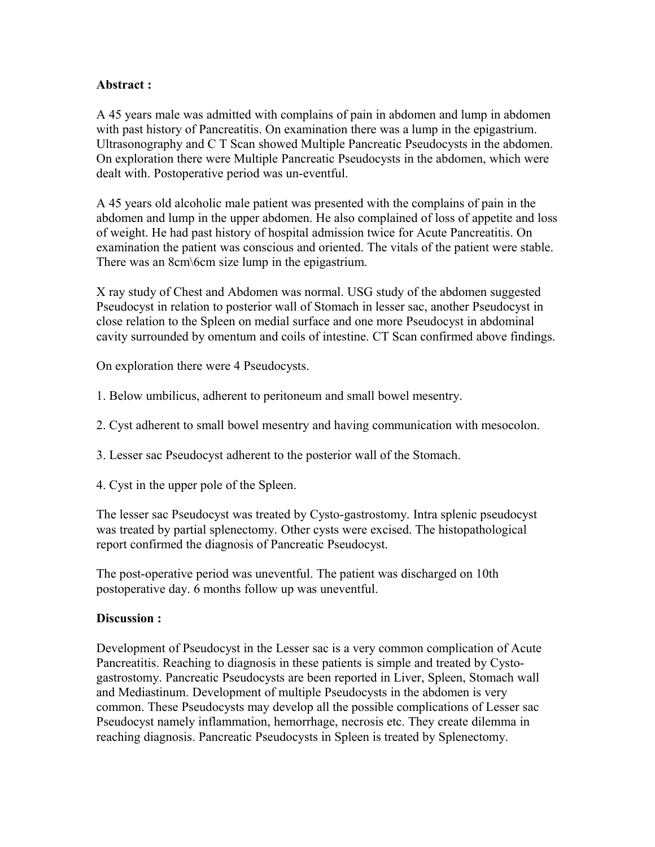#### **Abstract :**

A 45 years male was admitted with complains of pain in abdomen and lump in abdomen with past history of Pancreatitis. On examination there was a lump in the epigastrium. Ultrasonography and C T Scan showed Multiple Pancreatic Pseudocysts in the abdomen. On exploration there were Multiple Pancreatic Pseudocysts in the abdomen, which were dealt with. Postoperative period was un-eventful.

A 45 years old alcoholic male patient was presented with the complains of pain in the abdomen and lump in the upper abdomen. He also complained of loss of appetite and loss of weight. He had past history of hospital admission twice for Acute Pancreatitis. On examination the patient was conscious and oriented. The vitals of the patient were stable. There was an 8cm\6cm size lump in the epigastrium.

X ray study of Chest and Abdomen was normal. USG study of the abdomen suggested Pseudocyst in relation to posterior wall of Stomach in lesser sac, another Pseudocyst in close relation to the Spleen on medial surface and one more Pseudocyst in abdominal cavity surrounded by omentum and coils of intestine. CT Scan confirmed above findings.

On exploration there were 4 Pseudocysts.

- 1. Below umbilicus, adherent to peritoneum and small bowel mesentry.
- 2. Cyst adherent to small bowel mesentry and having communication with mesocolon.
- 3. Lesser sac Pseudocyst adherent to the posterior wall of the Stomach.
- 4. Cyst in the upper pole of the Spleen.

The lesser sac Pseudocyst was treated by Cysto-gastrostomy. Intra splenic pseudocyst was treated by partial splenectomy. Other cysts were excised. The histopathological report confirmed the diagnosis of Pancreatic Pseudocyst.

The post-operative period was uneventful. The patient was discharged on 10th postoperative day. 6 months follow up was uneventful.

#### **Discussion :**

Development of Pseudocyst in the Lesser sac is a very common complication of Acute Pancreatitis. Reaching to diagnosis in these patients is simple and treated by Cystogastrostomy. Pancreatic Pseudocysts are been reported in Liver, Spleen, Stomach wall and Mediastinum. Development of multiple Pseudocysts in the abdomen is very common. These Pseudocysts may develop all the possible complications of Lesser sac Pseudocyst namely inflammation, hemorrhage, necrosis etc. They create dilemma in reaching diagnosis. Pancreatic Pseudocysts in Spleen is treated by Splenectomy.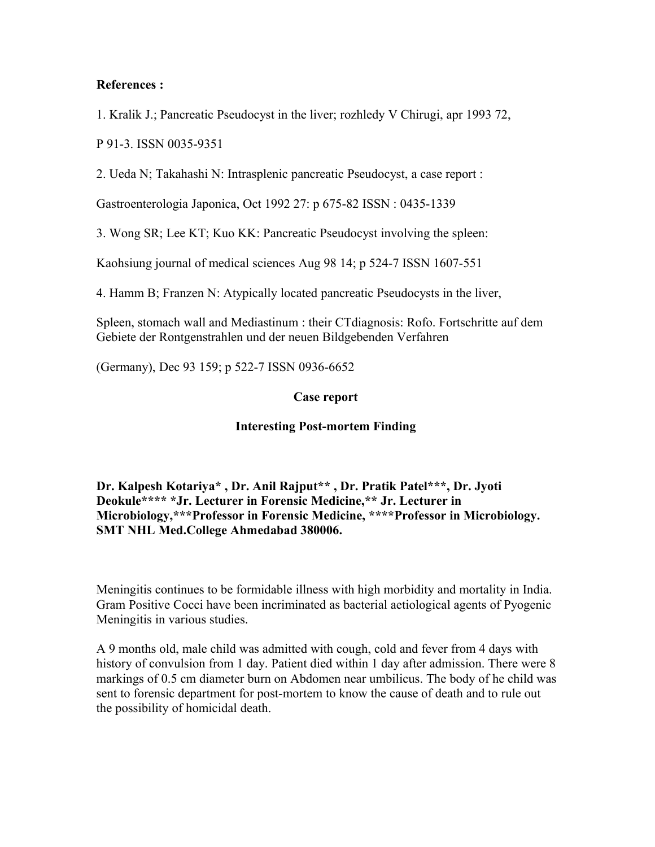#### **References :**

1. Kralik J.; Pancreatic Pseudocyst in the liver; rozhledy V Chirugi, apr 1993 72,

P 91-3. ISSN 0035-9351

2. Ueda N; Takahashi N: Intrasplenic pancreatic Pseudocyst, a case report :

Gastroenterologia Japonica, Oct 1992 27: p 675-82 ISSN : 0435-1339

3. Wong SR; Lee KT; Kuo KK: Pancreatic Pseudocyst involving the spleen:

Kaohsiung journal of medical sciences Aug 98 14; p 524-7 ISSN 1607-551

4. Hamm B; Franzen N: Atypically located pancreatic Pseudocysts in the liver,

Spleen, stomach wall and Mediastinum : their CTdiagnosis: Rofo. Fortschritte auf dem Gebiete der Rontgenstrahlen und der neuen Bildgebenden Verfahren

(Germany), Dec 93 159; p 522-7 ISSN 0936-6652

#### **Case report**

#### **Interesting Post-mortem Finding**

**Dr. Kalpesh Kotariya\* , Dr. Anil Rajput\*\* , Dr. Pratik Patel\*\*\*, Dr. Jyoti Deokule\*\*\*\* \*Jr. Lecturer in Forensic Medicine,\*\* Jr. Lecturer in Microbiology,\*\*\*Professor in Forensic Medicine, \*\*\*\*Professor in Microbiology. SMT NHL Med.College Ahmedabad 380006.** 

Meningitis continues to be formidable illness with high morbidity and mortality in India. Gram Positive Cocci have been incriminated as bacterial aetiological agents of Pyogenic Meningitis in various studies.

A 9 months old, male child was admitted with cough, cold and fever from 4 days with history of convulsion from 1 day. Patient died within 1 day after admission. There were 8 markings of 0.5 cm diameter burn on Abdomen near umbilicus. The body of he child was sent to forensic department for post-mortem to know the cause of death and to rule out the possibility of homicidal death.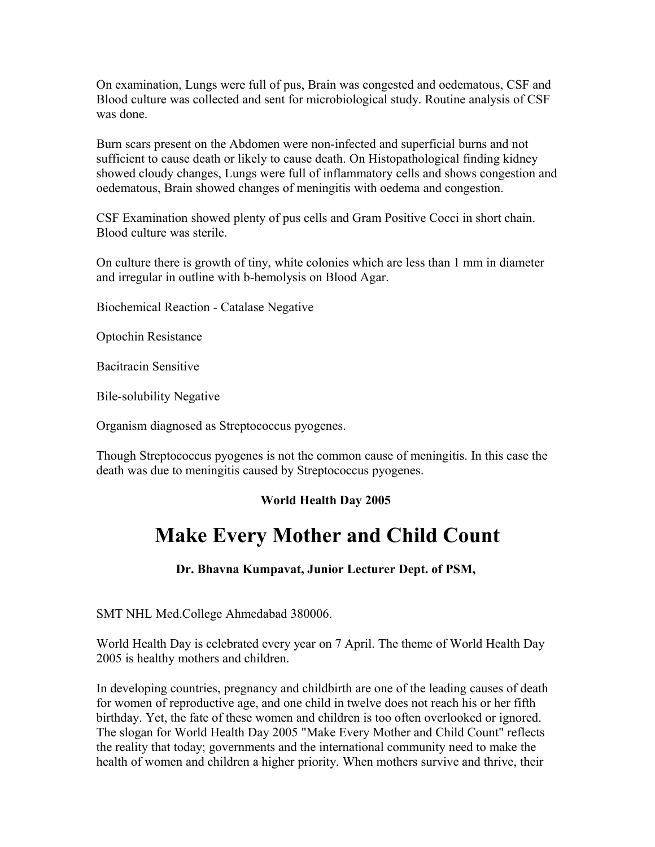On examination, Lungs were full of pus, Brain was congested and oedematous, CSF and Blood culture was collected and sent for microbiological study. Routine analysis of CSF was done.

Burn scars present on the Abdomen were non-infected and superficial burns and not sufficient to cause death or likely to cause death. On Histopathological finding kidney showed cloudy changes, Lungs were full of inflammatory cells and shows congestion and oedematous, Brain showed changes of meningitis with oedema and congestion.

CSF Examination showed plenty of pus cells and Gram Positive Cocci in short chain. Blood culture was sterile.

On culture there is growth of tiny, white colonies which are less than 1 mm in diameter and irregular in outline with b-hemolysis on Blood Agar.

Biochemical Reaction - Catalase Negative

Optochin Resistance

Bacitracin Sensitive

Bile-solubility Negative

Organism diagnosed as Streptococcus pyogenes.

Though Streptococcus pyogenes is not the common cause of meningitis. In this case the death was due to meningitis caused by Streptococcus pyogenes.

# **World Health Day 2005**

# **Make Every Mother and Child Count**

**Dr. Bhavna Kumpavat, Junior Lecturer Dept. of PSM,** 

SMT NHL Med.College Ahmedabad 380006.

World Health Day is celebrated every year on 7 April. The theme of World Health Day 2005 is healthy mothers and children.

In developing countries, pregnancy and childbirth are one of the leading causes of death for women of reproductive age, and one child in twelve does not reach his or her fifth birthday. Yet, the fate of these women and children is too often overlooked or ignored. The slogan for World Health Day 2005 "Make Every Mother and Child Count" reflects the reality that today; governments and the international community need to make the health of women and children a higher priority. When mothers survive and thrive, their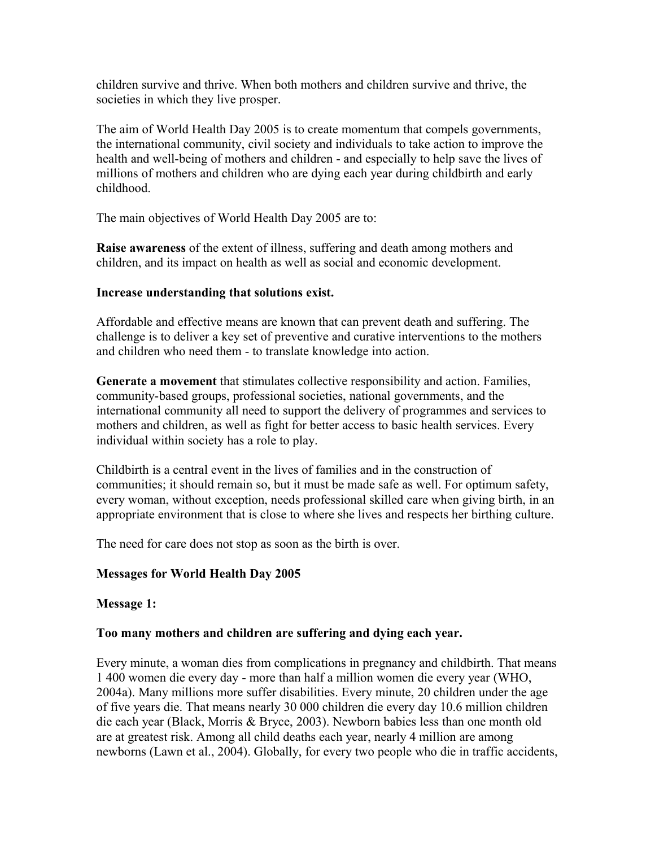children survive and thrive. When both mothers and children survive and thrive, the societies in which they live prosper.

The aim of World Health Day 2005 is to create momentum that compels governments, the international community, civil society and individuals to take action to improve the health and well-being of mothers and children - and especially to help save the lives of millions of mothers and children who are dying each year during childbirth and early childhood.

The main objectives of World Health Day 2005 are to:

**Raise awareness** of the extent of illness, suffering and death among mothers and children, and its impact on health as well as social and economic development.

#### **Increase understanding that solutions exist.**

Affordable and effective means are known that can prevent death and suffering. The challenge is to deliver a key set of preventive and curative interventions to the mothers and children who need them - to translate knowledge into action.

**Generate a movement** that stimulates collective responsibility and action. Families, community-based groups, professional societies, national governments, and the international community all need to support the delivery of programmes and services to mothers and children, as well as fight for better access to basic health services. Every individual within society has a role to play.

Childbirth is a central event in the lives of families and in the construction of communities; it should remain so, but it must be made safe as well. For optimum safety, every woman, without exception, needs professional skilled care when giving birth, in an appropriate environment that is close to where she lives and respects her birthing culture.

The need for care does not stop as soon as the birth is over.

# **Messages for World Health Day 2005**

#### **Message 1:**

#### **Too many mothers and children are suffering and dying each year.**

Every minute, a woman dies from complications in pregnancy and childbirth. That means 1 400 women die every day - more than half a million women die every year (WHO, 2004a). Many millions more suffer disabilities. Every minute, 20 children under the age of five years die. That means nearly 30 000 children die every day 10.6 million children die each year (Black, Morris & Bryce, 2003). Newborn babies less than one month old are at greatest risk. Among all child deaths each year, nearly 4 million are among newborns (Lawn et al., 2004). Globally, for every two people who die in traffic accidents,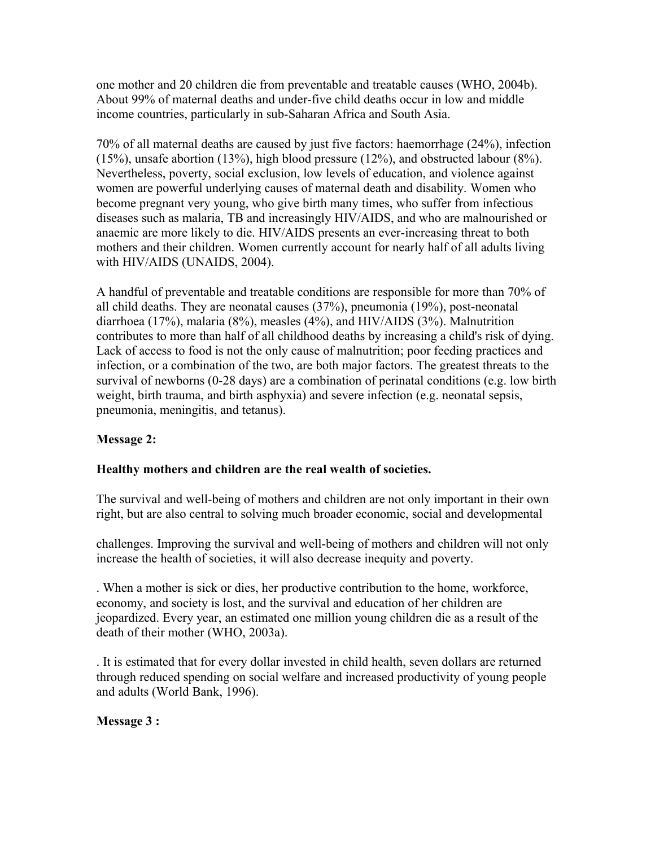one mother and 20 children die from preventable and treatable causes (WHO, 2004b). About 99% of maternal deaths and under-five child deaths occur in low and middle income countries, particularly in sub-Saharan Africa and South Asia.

70% of all maternal deaths are caused by just five factors: haemorrhage (24%), infection (15%), unsafe abortion (13%), high blood pressure (12%), and obstructed labour (8%). Nevertheless, poverty, social exclusion, low levels of education, and violence against women are powerful underlying causes of maternal death and disability. Women who become pregnant very young, who give birth many times, who suffer from infectious diseases such as malaria, TB and increasingly HIV/AIDS, and who are malnourished or anaemic are more likely to die. HIV/AIDS presents an ever-increasing threat to both mothers and their children. Women currently account for nearly half of all adults living with HIV/AIDS (UNAIDS, 2004).

A handful of preventable and treatable conditions are responsible for more than 70% of all child deaths. They are neonatal causes (37%), pneumonia (19%), post-neonatal diarrhoea (17%), malaria (8%), measles (4%), and HIV/AIDS (3%). Malnutrition contributes to more than half of all childhood deaths by increasing a child's risk of dying. Lack of access to food is not the only cause of malnutrition; poor feeding practices and infection, or a combination of the two, are both major factors. The greatest threats to the survival of newborns (0-28 days) are a combination of perinatal conditions (e.g. low birth weight, birth trauma, and birth asphyxia) and severe infection (e.g. neonatal sepsis, pneumonia, meningitis, and tetanus).

# **Message 2:**

#### **Healthy mothers and children are the real wealth of societies.**

The survival and well-being of mothers and children are not only important in their own right, but are also central to solving much broader economic, social and developmental

challenges. Improving the survival and well-being of mothers and children will not only increase the health of societies, it will also decrease inequity and poverty.

. When a mother is sick or dies, her productive contribution to the home, workforce, economy, and society is lost, and the survival and education of her children are jeopardized. Every year, an estimated one million young children die as a result of the death of their mother (WHO, 2003a).

. It is estimated that for every dollar invested in child health, seven dollars are returned through reduced spending on social welfare and increased productivity of young people and adults (World Bank, 1996).

# **Message 3 :**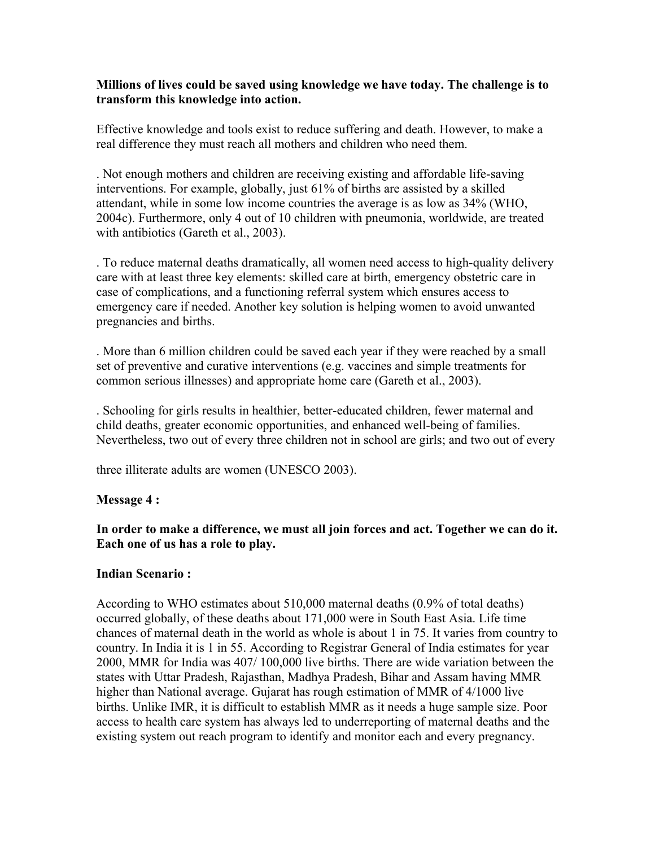#### **Millions of lives could be saved using knowledge we have today. The challenge is to transform this knowledge into action.**

Effective knowledge and tools exist to reduce suffering and death. However, to make a real difference they must reach all mothers and children who need them.

. Not enough mothers and children are receiving existing and affordable life-saving interventions. For example, globally, just 61% of births are assisted by a skilled attendant, while in some low income countries the average is as low as 34% (WHO, 2004c). Furthermore, only 4 out of 10 children with pneumonia, worldwide, are treated with antibiotics (Gareth et al., 2003).

. To reduce maternal deaths dramatically, all women need access to high-quality delivery care with at least three key elements: skilled care at birth, emergency obstetric care in case of complications, and a functioning referral system which ensures access to emergency care if needed. Another key solution is helping women to avoid unwanted pregnancies and births.

. More than 6 million children could be saved each year if they were reached by a small set of preventive and curative interventions (e.g. vaccines and simple treatments for common serious illnesses) and appropriate home care (Gareth et al., 2003).

. Schooling for girls results in healthier, better-educated children, fewer maternal and child deaths, greater economic opportunities, and enhanced well-being of families. Nevertheless, two out of every three children not in school are girls; and two out of every

three illiterate adults are women (UNESCO 2003).

#### **Message 4 :**

**In order to make a difference, we must all join forces and act. Together we can do it. Each one of us has a role to play.** 

#### **Indian Scenario :**

According to WHO estimates about 510,000 maternal deaths (0.9% of total deaths) occurred globally, of these deaths about 171,000 were in South East Asia. Life time chances of maternal death in the world as whole is about 1 in 75. It varies from country to country. In India it is 1 in 55. According to Registrar General of India estimates for year 2000, MMR for India was 407/ 100,000 live births. There are wide variation between the states with Uttar Pradesh, Rajasthan, Madhya Pradesh, Bihar and Assam having MMR higher than National average. Gujarat has rough estimation of MMR of 4/1000 live births. Unlike IMR, it is difficult to establish MMR as it needs a huge sample size. Poor access to health care system has always led to underreporting of maternal deaths and the existing system out reach program to identify and monitor each and every pregnancy.